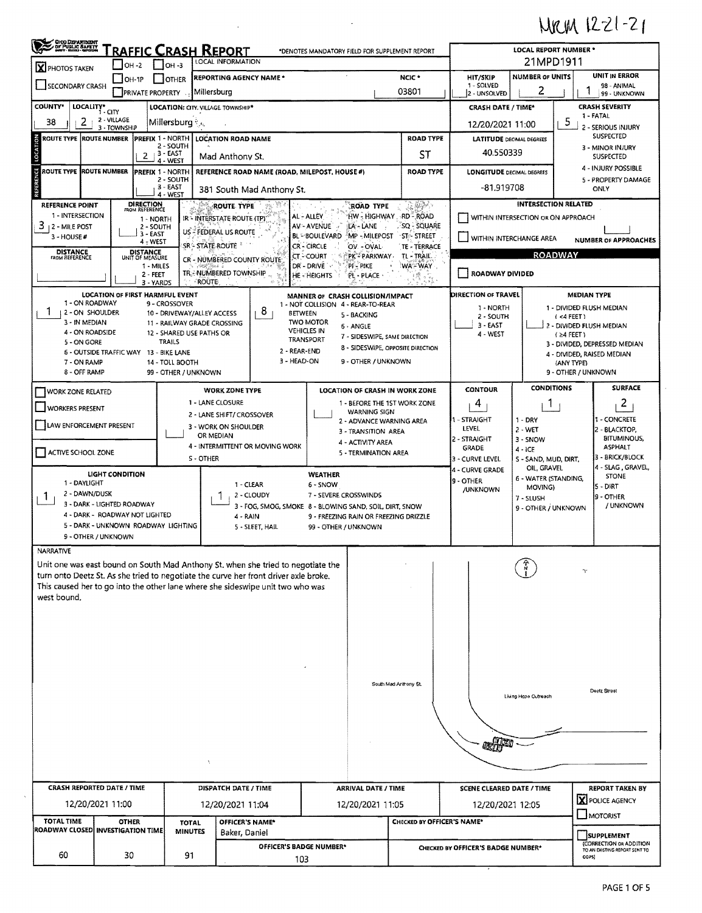## MRM 1221-21

| LOCAL INFORMATION<br>   он -з<br>$IOH-2$<br>X PHOTOS TAKEN<br>HIT/SKIP<br>NCIC *<br><b>REPORTING AGENCY NAME *</b><br>JOH-1P<br><b>OTHER</b><br>1 - SOLVED<br>SECONDARY CRASH<br>2<br>03801<br>Millersburg<br><b>PRIVATE PROPERTY</b><br>2 - UNSOLVED<br><b>COUNTY*</b><br>LOCALITY*<br>LOCATION: CITY. VILLAGE TOWNSHIP*<br><b>CRASH DATE / TIME*</b><br>1 - CITY<br>2 - VILLAGE<br>2.<br>38<br>Millersburg<br>12/20/2021 11:00<br>3 - TOWNSHIP<br><b>ROAD TYPE</b><br>ROUTE TYPE  ROUTE NUMBER  PREFIX 1 - NORTH<br><b>LOCATION ROAD NAME</b><br><b>LATITUDE</b> DECIMAL DEGREES<br>2 - SOUTH<br>40.550339<br>$3 - EAST$<br>ST<br>2<br>Mad Anthony St.<br>4 - WEST<br>ö<br>ROUTE TYPE ROUTE NUMBER<br><b>PREFIX 1 - NORTH</b><br>REFERENCE ROAD NAME (ROAD, MILEPOST, HOUSE #)<br><b>ROAD TYPE</b><br><b>LONGITUDE DECIMAL DEGREES</b><br>2 - SOUTH<br>$3 - EAST$<br>-81.919708<br>381 South Mad Anthony St.<br>4 - WEST<br>DIRECTION<br>$\mathbb{R}$ in $\mathbb{R}$ .<br><b>REFERENCE POINT</b><br>ROUTE TYPE<br><b>ROAD TYPE</b><br>FROM REFERENCE<br>1 - INTERSECTION<br>HW - HIGHWAY - RD - ROAD<br>AL - ALLEY<br>WITHIN INTERSECTION OR ON APPROACH<br>IR - INTERSTATE ROUTE (TP)'<br>1 - NORTH<br>$3 + 2 -$ MILE POST<br>AV - AVENUE<br>LA - LANE<br>. sq - Square<br>2 - SOUTH<br>US - FEDERAL US ROUTE<br>3 - EAST<br><b>BL-BOULEVARD</b><br>MP - MILEPOST<br><b>ST-STREET</b><br>3 - HOUSE#<br>WITHIN INTERCHANGE AREA<br>$4 - WEST$<br>SR – STATE ROUTE<br>CR-CIRCLE<br>OV - OVAL-<br>TE - TERRACE<br><b>DISTANCE</b><br><b>DISTANCE</b><br>PK <sup>*</sup> PARKWAY<br>TL - TRAIL.<br>CT - COURT<br><b>FROM REFERENCE</b><br>UNIT OF MEASURE<br>CR - NUMBERED COUNTY ROUTE<br>DR - DRIVE<br>PI - PIKE<br><b>WA-WAY</b><br>1 - MILES<br>TRE-NUMBERED TOWNSHIP<br>ROADWAY DIVIDED<br>2 - FEET<br><b>HE - HEIGHTS</b><br>PL - PLACE<br>ROUTE<br>3 - YARDS<br><b>DIRECTION OF TRAVEL</b><br><b>LOCATION OF FIRST HARMFUL EVENT</b><br>MANNER OF CRASH COLLISION/IMPACT<br>1 - ON ROADWAY<br>9 - CROSSOVER<br>1 - NOT COLLISION 4 - REAR-TO-REAR<br>1 - NORTH<br>8<br>12 - ON SHOULDER<br>10 - DRIVEWAY/ALLEY ACCESS<br><b>BETWEEN</b><br>5 - BACKING<br>2 - SOUTH<br><b>TWO MOTOR</b><br>3 - IN MEDIAN<br>11 - RAILWAY GRADE CROSSING<br>$3 - EAST$<br>6 - ANGLE<br><b>VEHICLES IN</b><br>4 - ON ROADSIDE<br>12 - SHARED USE PATHS OR<br>4 - WEST<br>7 - SIDESWIPE, SAME DIRECTION<br>TRANSPORT<br>TRAILS<br>5 - ON GORE<br>8 - SIDESWIPE, OPPOSITE DIRECTION<br>2 - REAR-END<br>6 - OUTSIDE TRAFFIC WAY 13 - BIKE LANE<br>3 - HEAD-ON<br>9 - OTHER / UNKNOWN<br>7 - ON RAMP<br>14 - TOLL BOOTH<br>8 - OFF RAMP<br>99 - OTHER / UNKNOWN<br><b>CONTOUR</b><br><b>WORK ZONE TYPE</b><br>LOCATION OF CRASH IN WORK ZONE<br>WORK ZONE RELATED<br>1 - LANE CLOSURE<br>4<br>1 - BEFORE THE 1ST WORK ZONE<br><b>WORKERS PRESENT</b><br><b>WARNING SIGN</b><br>2 - LANE SHIFT/ CROSSOVER<br>1 - STRAIGHT<br>$1 - DRY$<br>2 - ADVANCE WARNING AREA<br>LAW ENFORCEMENT PRESENT<br>3 - WORK ON SHOULDER<br>LEVEL<br>$2 - WET$<br>3 - TRANSITION AREA<br>OR MEDIAN<br>2 - STRAIGHT<br>3 - SNOW<br>4 - ACTIVITY AREA<br>4 - INTERMITTENT OR MOVING WORK<br><b>GRADE</b><br>$4 - iCE$<br>ACTIVE SCHOOL ZONE<br>5 - TERMINATION AREA<br>S - OTHER<br>3 - CURVE LEVEL | 21MPD1911<br><b>UNIT IN ERROR</b><br><b>NUMBER OF UNITS</b><br>98 - ANIMAL<br>99 - UNKNOWN<br><b>CRASH SEVERITY</b><br>1 - FATAL<br>5<br>2 - SERIOUS INJURY<br>SUSPECTED<br>3 - MINOR INJURY<br>SUSPECTED<br>4 - INJURY POSSIBLE<br>5 - PROPERTY DAMAGE<br>ONLY<br><b>INTERSECTION RELATED</b><br><b>NUMBER OF APPROACHES</b><br><b>ROADWAY</b><br><b>MEDIAN TYPE</b><br>1 - DIVIDED FLUSH MEDIAN<br>(4 FEET)<br>2 - DIVIDED FLUSH MEDIAN<br>$(24$ FEET)<br>3 - DIVIDED, DEPRESSED MEDIAN<br>4 - DIVIDED, RAISED MEDIAN<br>(ANY TYPE)<br>9 - OTHER / UNKNOWN<br><b>CONDITIONS</b><br><b>SURFACE</b><br>2<br>Ŧ<br>1 - CONCRETE<br>2 - BLACKTOP,<br><b>BITUMINOUS,</b><br><b>ASPHALT</b> |
|----------------------------------------------------------------------------------------------------------------------------------------------------------------------------------------------------------------------------------------------------------------------------------------------------------------------------------------------------------------------------------------------------------------------------------------------------------------------------------------------------------------------------------------------------------------------------------------------------------------------------------------------------------------------------------------------------------------------------------------------------------------------------------------------------------------------------------------------------------------------------------------------------------------------------------------------------------------------------------------------------------------------------------------------------------------------------------------------------------------------------------------------------------------------------------------------------------------------------------------------------------------------------------------------------------------------------------------------------------------------------------------------------------------------------------------------------------------------------------------------------------------------------------------------------------------------------------------------------------------------------------------------------------------------------------------------------------------------------------------------------------------------------------------------------------------------------------------------------------------------------------------------------------------------------------------------------------------------------------------------------------------------------------------------------------------------------------------------------------------------------------------------------------------------------------------------------------------------------------------------------------------------------------------------------------------------------------------------------------------------------------------------------------------------------------------------------------------------------------------------------------------------------------------------------------------------------------------------------------------------------------------------------------------------------------------------------------------------------------------------------------------------------------------------------------------------------------------------------------------------------------------------------------------------------------------------------------------------------------------------------------------------------------------------------------------------------------------------------------------------------------------------------------------------------------------------------------------------------------------------------------------|----------------------------------------------------------------------------------------------------------------------------------------------------------------------------------------------------------------------------------------------------------------------------------------------------------------------------------------------------------------------------------------------------------------------------------------------------------------------------------------------------------------------------------------------------------------------------------------------------------------------------------------------------------------------------------------|
|                                                                                                                                                                                                                                                                                                                                                                                                                                                                                                                                                                                                                                                                                                                                                                                                                                                                                                                                                                                                                                                                                                                                                                                                                                                                                                                                                                                                                                                                                                                                                                                                                                                                                                                                                                                                                                                                                                                                                                                                                                                                                                                                                                                                                                                                                                                                                                                                                                                                                                                                                                                                                                                                                                                                                                                                                                                                                                                                                                                                                                                                                                                                                                                                                                                                |                                                                                                                                                                                                                                                                                                                                                                                                                                                                                                                                                                                                                                                                                        |
|                                                                                                                                                                                                                                                                                                                                                                                                                                                                                                                                                                                                                                                                                                                                                                                                                                                                                                                                                                                                                                                                                                                                                                                                                                                                                                                                                                                                                                                                                                                                                                                                                                                                                                                                                                                                                                                                                                                                                                                                                                                                                                                                                                                                                                                                                                                                                                                                                                                                                                                                                                                                                                                                                                                                                                                                                                                                                                                                                                                                                                                                                                                                                                                                                                                                |                                                                                                                                                                                                                                                                                                                                                                                                                                                                                                                                                                                                                                                                                        |
|                                                                                                                                                                                                                                                                                                                                                                                                                                                                                                                                                                                                                                                                                                                                                                                                                                                                                                                                                                                                                                                                                                                                                                                                                                                                                                                                                                                                                                                                                                                                                                                                                                                                                                                                                                                                                                                                                                                                                                                                                                                                                                                                                                                                                                                                                                                                                                                                                                                                                                                                                                                                                                                                                                                                                                                                                                                                                                                                                                                                                                                                                                                                                                                                                                                                |                                                                                                                                                                                                                                                                                                                                                                                                                                                                                                                                                                                                                                                                                        |
|                                                                                                                                                                                                                                                                                                                                                                                                                                                                                                                                                                                                                                                                                                                                                                                                                                                                                                                                                                                                                                                                                                                                                                                                                                                                                                                                                                                                                                                                                                                                                                                                                                                                                                                                                                                                                                                                                                                                                                                                                                                                                                                                                                                                                                                                                                                                                                                                                                                                                                                                                                                                                                                                                                                                                                                                                                                                                                                                                                                                                                                                                                                                                                                                                                                                |                                                                                                                                                                                                                                                                                                                                                                                                                                                                                                                                                                                                                                                                                        |
|                                                                                                                                                                                                                                                                                                                                                                                                                                                                                                                                                                                                                                                                                                                                                                                                                                                                                                                                                                                                                                                                                                                                                                                                                                                                                                                                                                                                                                                                                                                                                                                                                                                                                                                                                                                                                                                                                                                                                                                                                                                                                                                                                                                                                                                                                                                                                                                                                                                                                                                                                                                                                                                                                                                                                                                                                                                                                                                                                                                                                                                                                                                                                                                                                                                                |                                                                                                                                                                                                                                                                                                                                                                                                                                                                                                                                                                                                                                                                                        |
|                                                                                                                                                                                                                                                                                                                                                                                                                                                                                                                                                                                                                                                                                                                                                                                                                                                                                                                                                                                                                                                                                                                                                                                                                                                                                                                                                                                                                                                                                                                                                                                                                                                                                                                                                                                                                                                                                                                                                                                                                                                                                                                                                                                                                                                                                                                                                                                                                                                                                                                                                                                                                                                                                                                                                                                                                                                                                                                                                                                                                                                                                                                                                                                                                                                                |                                                                                                                                                                                                                                                                                                                                                                                                                                                                                                                                                                                                                                                                                        |
|                                                                                                                                                                                                                                                                                                                                                                                                                                                                                                                                                                                                                                                                                                                                                                                                                                                                                                                                                                                                                                                                                                                                                                                                                                                                                                                                                                                                                                                                                                                                                                                                                                                                                                                                                                                                                                                                                                                                                                                                                                                                                                                                                                                                                                                                                                                                                                                                                                                                                                                                                                                                                                                                                                                                                                                                                                                                                                                                                                                                                                                                                                                                                                                                                                                                |                                                                                                                                                                                                                                                                                                                                                                                                                                                                                                                                                                                                                                                                                        |
|                                                                                                                                                                                                                                                                                                                                                                                                                                                                                                                                                                                                                                                                                                                                                                                                                                                                                                                                                                                                                                                                                                                                                                                                                                                                                                                                                                                                                                                                                                                                                                                                                                                                                                                                                                                                                                                                                                                                                                                                                                                                                                                                                                                                                                                                                                                                                                                                                                                                                                                                                                                                                                                                                                                                                                                                                                                                                                                                                                                                                                                                                                                                                                                                                                                                |                                                                                                                                                                                                                                                                                                                                                                                                                                                                                                                                                                                                                                                                                        |
|                                                                                                                                                                                                                                                                                                                                                                                                                                                                                                                                                                                                                                                                                                                                                                                                                                                                                                                                                                                                                                                                                                                                                                                                                                                                                                                                                                                                                                                                                                                                                                                                                                                                                                                                                                                                                                                                                                                                                                                                                                                                                                                                                                                                                                                                                                                                                                                                                                                                                                                                                                                                                                                                                                                                                                                                                                                                                                                                                                                                                                                                                                                                                                                                                                                                |                                                                                                                                                                                                                                                                                                                                                                                                                                                                                                                                                                                                                                                                                        |
|                                                                                                                                                                                                                                                                                                                                                                                                                                                                                                                                                                                                                                                                                                                                                                                                                                                                                                                                                                                                                                                                                                                                                                                                                                                                                                                                                                                                                                                                                                                                                                                                                                                                                                                                                                                                                                                                                                                                                                                                                                                                                                                                                                                                                                                                                                                                                                                                                                                                                                                                                                                                                                                                                                                                                                                                                                                                                                                                                                                                                                                                                                                                                                                                                                                                |                                                                                                                                                                                                                                                                                                                                                                                                                                                                                                                                                                                                                                                                                        |
|                                                                                                                                                                                                                                                                                                                                                                                                                                                                                                                                                                                                                                                                                                                                                                                                                                                                                                                                                                                                                                                                                                                                                                                                                                                                                                                                                                                                                                                                                                                                                                                                                                                                                                                                                                                                                                                                                                                                                                                                                                                                                                                                                                                                                                                                                                                                                                                                                                                                                                                                                                                                                                                                                                                                                                                                                                                                                                                                                                                                                                                                                                                                                                                                                                                                |                                                                                                                                                                                                                                                                                                                                                                                                                                                                                                                                                                                                                                                                                        |
|                                                                                                                                                                                                                                                                                                                                                                                                                                                                                                                                                                                                                                                                                                                                                                                                                                                                                                                                                                                                                                                                                                                                                                                                                                                                                                                                                                                                                                                                                                                                                                                                                                                                                                                                                                                                                                                                                                                                                                                                                                                                                                                                                                                                                                                                                                                                                                                                                                                                                                                                                                                                                                                                                                                                                                                                                                                                                                                                                                                                                                                                                                                                                                                                                                                                |                                                                                                                                                                                                                                                                                                                                                                                                                                                                                                                                                                                                                                                                                        |
|                                                                                                                                                                                                                                                                                                                                                                                                                                                                                                                                                                                                                                                                                                                                                                                                                                                                                                                                                                                                                                                                                                                                                                                                                                                                                                                                                                                                                                                                                                                                                                                                                                                                                                                                                                                                                                                                                                                                                                                                                                                                                                                                                                                                                                                                                                                                                                                                                                                                                                                                                                                                                                                                                                                                                                                                                                                                                                                                                                                                                                                                                                                                                                                                                                                                |                                                                                                                                                                                                                                                                                                                                                                                                                                                                                                                                                                                                                                                                                        |
|                                                                                                                                                                                                                                                                                                                                                                                                                                                                                                                                                                                                                                                                                                                                                                                                                                                                                                                                                                                                                                                                                                                                                                                                                                                                                                                                                                                                                                                                                                                                                                                                                                                                                                                                                                                                                                                                                                                                                                                                                                                                                                                                                                                                                                                                                                                                                                                                                                                                                                                                                                                                                                                                                                                                                                                                                                                                                                                                                                                                                                                                                                                                                                                                                                                                |                                                                                                                                                                                                                                                                                                                                                                                                                                                                                                                                                                                                                                                                                        |
|                                                                                                                                                                                                                                                                                                                                                                                                                                                                                                                                                                                                                                                                                                                                                                                                                                                                                                                                                                                                                                                                                                                                                                                                                                                                                                                                                                                                                                                                                                                                                                                                                                                                                                                                                                                                                                                                                                                                                                                                                                                                                                                                                                                                                                                                                                                                                                                                                                                                                                                                                                                                                                                                                                                                                                                                                                                                                                                                                                                                                                                                                                                                                                                                                                                                |                                                                                                                                                                                                                                                                                                                                                                                                                                                                                                                                                                                                                                                                                        |
|                                                                                                                                                                                                                                                                                                                                                                                                                                                                                                                                                                                                                                                                                                                                                                                                                                                                                                                                                                                                                                                                                                                                                                                                                                                                                                                                                                                                                                                                                                                                                                                                                                                                                                                                                                                                                                                                                                                                                                                                                                                                                                                                                                                                                                                                                                                                                                                                                                                                                                                                                                                                                                                                                                                                                                                                                                                                                                                                                                                                                                                                                                                                                                                                                                                                |                                                                                                                                                                                                                                                                                                                                                                                                                                                                                                                                                                                                                                                                                        |
|                                                                                                                                                                                                                                                                                                                                                                                                                                                                                                                                                                                                                                                                                                                                                                                                                                                                                                                                                                                                                                                                                                                                                                                                                                                                                                                                                                                                                                                                                                                                                                                                                                                                                                                                                                                                                                                                                                                                                                                                                                                                                                                                                                                                                                                                                                                                                                                                                                                                                                                                                                                                                                                                                                                                                                                                                                                                                                                                                                                                                                                                                                                                                                                                                                                                |                                                                                                                                                                                                                                                                                                                                                                                                                                                                                                                                                                                                                                                                                        |
|                                                                                                                                                                                                                                                                                                                                                                                                                                                                                                                                                                                                                                                                                                                                                                                                                                                                                                                                                                                                                                                                                                                                                                                                                                                                                                                                                                                                                                                                                                                                                                                                                                                                                                                                                                                                                                                                                                                                                                                                                                                                                                                                                                                                                                                                                                                                                                                                                                                                                                                                                                                                                                                                                                                                                                                                                                                                                                                                                                                                                                                                                                                                                                                                                                                                | 3 - BRICK/BLOCK<br>S - SAND, MUD, DIRT,                                                                                                                                                                                                                                                                                                                                                                                                                                                                                                                                                                                                                                                |
| 4 - CURVE GRADE<br><b>LIGHT CONDITION</b><br>WEATHER                                                                                                                                                                                                                                                                                                                                                                                                                                                                                                                                                                                                                                                                                                                                                                                                                                                                                                                                                                                                                                                                                                                                                                                                                                                                                                                                                                                                                                                                                                                                                                                                                                                                                                                                                                                                                                                                                                                                                                                                                                                                                                                                                                                                                                                                                                                                                                                                                                                                                                                                                                                                                                                                                                                                                                                                                                                                                                                                                                                                                                                                                                                                                                                                           | 4 - SLAG, GRAVEL,<br>OIL, GRAVEL<br><b>STONE</b>                                                                                                                                                                                                                                                                                                                                                                                                                                                                                                                                                                                                                                       |
| 9 - OTHER<br>1 - DAYLIGHT<br>1 - CLEAR<br>6 - SNOW<br>MOVING)                                                                                                                                                                                                                                                                                                                                                                                                                                                                                                                                                                                                                                                                                                                                                                                                                                                                                                                                                                                                                                                                                                                                                                                                                                                                                                                                                                                                                                                                                                                                                                                                                                                                                                                                                                                                                                                                                                                                                                                                                                                                                                                                                                                                                                                                                                                                                                                                                                                                                                                                                                                                                                                                                                                                                                                                                                                                                                                                                                                                                                                                                                                                                                                                  | 6 - WATER (STANDING,<br>5 - DIRT                                                                                                                                                                                                                                                                                                                                                                                                                                                                                                                                                                                                                                                       |
| /UNKNOWN<br>2 - DAWN/DUSK<br>2 - CLOUDY<br>7 - SEVERE CROSSWINDS<br>T.<br>7 - SLUSH                                                                                                                                                                                                                                                                                                                                                                                                                                                                                                                                                                                                                                                                                                                                                                                                                                                                                                                                                                                                                                                                                                                                                                                                                                                                                                                                                                                                                                                                                                                                                                                                                                                                                                                                                                                                                                                                                                                                                                                                                                                                                                                                                                                                                                                                                                                                                                                                                                                                                                                                                                                                                                                                                                                                                                                                                                                                                                                                                                                                                                                                                                                                                                            | 9 - OTHER                                                                                                                                                                                                                                                                                                                                                                                                                                                                                                                                                                                                                                                                              |
| 3 - DARK - LIGHTED ROADWAY<br>3 - FOG, SMOG, SMOKE 8 - BLOWING SAND, SOIL, DIRT, SNOW                                                                                                                                                                                                                                                                                                                                                                                                                                                                                                                                                                                                                                                                                                                                                                                                                                                                                                                                                                                                                                                                                                                                                                                                                                                                                                                                                                                                                                                                                                                                                                                                                                                                                                                                                                                                                                                                                                                                                                                                                                                                                                                                                                                                                                                                                                                                                                                                                                                                                                                                                                                                                                                                                                                                                                                                                                                                                                                                                                                                                                                                                                                                                                          | / UNKNOWN<br>9 - OTHER / UNKNOWN                                                                                                                                                                                                                                                                                                                                                                                                                                                                                                                                                                                                                                                       |
| 4 - DARK - ROADWAY NOT LIGHTED<br>4 - RAIN<br>9 - FREEZING RAIN OR FREEZING DRIZZLE                                                                                                                                                                                                                                                                                                                                                                                                                                                                                                                                                                                                                                                                                                                                                                                                                                                                                                                                                                                                                                                                                                                                                                                                                                                                                                                                                                                                                                                                                                                                                                                                                                                                                                                                                                                                                                                                                                                                                                                                                                                                                                                                                                                                                                                                                                                                                                                                                                                                                                                                                                                                                                                                                                                                                                                                                                                                                                                                                                                                                                                                                                                                                                            |                                                                                                                                                                                                                                                                                                                                                                                                                                                                                                                                                                                                                                                                                        |
| 5 - DARK - UNKNOWN ROADWAY LIGHTING<br>5 - SLEET, HAIL<br>99 - OTHER / UNKNOWN                                                                                                                                                                                                                                                                                                                                                                                                                                                                                                                                                                                                                                                                                                                                                                                                                                                                                                                                                                                                                                                                                                                                                                                                                                                                                                                                                                                                                                                                                                                                                                                                                                                                                                                                                                                                                                                                                                                                                                                                                                                                                                                                                                                                                                                                                                                                                                                                                                                                                                                                                                                                                                                                                                                                                                                                                                                                                                                                                                                                                                                                                                                                                                                 |                                                                                                                                                                                                                                                                                                                                                                                                                                                                                                                                                                                                                                                                                        |
| 9 - OTHER / UNKNOWN                                                                                                                                                                                                                                                                                                                                                                                                                                                                                                                                                                                                                                                                                                                                                                                                                                                                                                                                                                                                                                                                                                                                                                                                                                                                                                                                                                                                                                                                                                                                                                                                                                                                                                                                                                                                                                                                                                                                                                                                                                                                                                                                                                                                                                                                                                                                                                                                                                                                                                                                                                                                                                                                                                                                                                                                                                                                                                                                                                                                                                                                                                                                                                                                                                            |                                                                                                                                                                                                                                                                                                                                                                                                                                                                                                                                                                                                                                                                                        |
| NARRATIVE                                                                                                                                                                                                                                                                                                                                                                                                                                                                                                                                                                                                                                                                                                                                                                                                                                                                                                                                                                                                                                                                                                                                                                                                                                                                                                                                                                                                                                                                                                                                                                                                                                                                                                                                                                                                                                                                                                                                                                                                                                                                                                                                                                                                                                                                                                                                                                                                                                                                                                                                                                                                                                                                                                                                                                                                                                                                                                                                                                                                                                                                                                                                                                                                                                                      |                                                                                                                                                                                                                                                                                                                                                                                                                                                                                                                                                                                                                                                                                        |
| Unit one was east bound on South Mad Anthony St. when she tried to negotiate the<br>turn onto Deetz St. As she tried to negotiate the curve her front driver axle broke.<br>This caused her to go into the other lane where she sideswipe unit two who was<br>west bound,                                                                                                                                                                                                                                                                                                                                                                                                                                                                                                                                                                                                                                                                                                                                                                                                                                                                                                                                                                                                                                                                                                                                                                                                                                                                                                                                                                                                                                                                                                                                                                                                                                                                                                                                                                                                                                                                                                                                                                                                                                                                                                                                                                                                                                                                                                                                                                                                                                                                                                                                                                                                                                                                                                                                                                                                                                                                                                                                                                                      |                                                                                                                                                                                                                                                                                                                                                                                                                                                                                                                                                                                                                                                                                        |
|                                                                                                                                                                                                                                                                                                                                                                                                                                                                                                                                                                                                                                                                                                                                                                                                                                                                                                                                                                                                                                                                                                                                                                                                                                                                                                                                                                                                                                                                                                                                                                                                                                                                                                                                                                                                                                                                                                                                                                                                                                                                                                                                                                                                                                                                                                                                                                                                                                                                                                                                                                                                                                                                                                                                                                                                                                                                                                                                                                                                                                                                                                                                                                                                                                                                |                                                                                                                                                                                                                                                                                                                                                                                                                                                                                                                                                                                                                                                                                        |
|                                                                                                                                                                                                                                                                                                                                                                                                                                                                                                                                                                                                                                                                                                                                                                                                                                                                                                                                                                                                                                                                                                                                                                                                                                                                                                                                                                                                                                                                                                                                                                                                                                                                                                                                                                                                                                                                                                                                                                                                                                                                                                                                                                                                                                                                                                                                                                                                                                                                                                                                                                                                                                                                                                                                                                                                                                                                                                                                                                                                                                                                                                                                                                                                                                                                |                                                                                                                                                                                                                                                                                                                                                                                                                                                                                                                                                                                                                                                                                        |
|                                                                                                                                                                                                                                                                                                                                                                                                                                                                                                                                                                                                                                                                                                                                                                                                                                                                                                                                                                                                                                                                                                                                                                                                                                                                                                                                                                                                                                                                                                                                                                                                                                                                                                                                                                                                                                                                                                                                                                                                                                                                                                                                                                                                                                                                                                                                                                                                                                                                                                                                                                                                                                                                                                                                                                                                                                                                                                                                                                                                                                                                                                                                                                                                                                                                |                                                                                                                                                                                                                                                                                                                                                                                                                                                                                                                                                                                                                                                                                        |
|                                                                                                                                                                                                                                                                                                                                                                                                                                                                                                                                                                                                                                                                                                                                                                                                                                                                                                                                                                                                                                                                                                                                                                                                                                                                                                                                                                                                                                                                                                                                                                                                                                                                                                                                                                                                                                                                                                                                                                                                                                                                                                                                                                                                                                                                                                                                                                                                                                                                                                                                                                                                                                                                                                                                                                                                                                                                                                                                                                                                                                                                                                                                                                                                                                                                |                                                                                                                                                                                                                                                                                                                                                                                                                                                                                                                                                                                                                                                                                        |
|                                                                                                                                                                                                                                                                                                                                                                                                                                                                                                                                                                                                                                                                                                                                                                                                                                                                                                                                                                                                                                                                                                                                                                                                                                                                                                                                                                                                                                                                                                                                                                                                                                                                                                                                                                                                                                                                                                                                                                                                                                                                                                                                                                                                                                                                                                                                                                                                                                                                                                                                                                                                                                                                                                                                                                                                                                                                                                                                                                                                                                                                                                                                                                                                                                                                |                                                                                                                                                                                                                                                                                                                                                                                                                                                                                                                                                                                                                                                                                        |
|                                                                                                                                                                                                                                                                                                                                                                                                                                                                                                                                                                                                                                                                                                                                                                                                                                                                                                                                                                                                                                                                                                                                                                                                                                                                                                                                                                                                                                                                                                                                                                                                                                                                                                                                                                                                                                                                                                                                                                                                                                                                                                                                                                                                                                                                                                                                                                                                                                                                                                                                                                                                                                                                                                                                                                                                                                                                                                                                                                                                                                                                                                                                                                                                                                                                |                                                                                                                                                                                                                                                                                                                                                                                                                                                                                                                                                                                                                                                                                        |
|                                                                                                                                                                                                                                                                                                                                                                                                                                                                                                                                                                                                                                                                                                                                                                                                                                                                                                                                                                                                                                                                                                                                                                                                                                                                                                                                                                                                                                                                                                                                                                                                                                                                                                                                                                                                                                                                                                                                                                                                                                                                                                                                                                                                                                                                                                                                                                                                                                                                                                                                                                                                                                                                                                                                                                                                                                                                                                                                                                                                                                                                                                                                                                                                                                                                |                                                                                                                                                                                                                                                                                                                                                                                                                                                                                                                                                                                                                                                                                        |
| South Mad Anthony St.                                                                                                                                                                                                                                                                                                                                                                                                                                                                                                                                                                                                                                                                                                                                                                                                                                                                                                                                                                                                                                                                                                                                                                                                                                                                                                                                                                                                                                                                                                                                                                                                                                                                                                                                                                                                                                                                                                                                                                                                                                                                                                                                                                                                                                                                                                                                                                                                                                                                                                                                                                                                                                                                                                                                                                                                                                                                                                                                                                                                                                                                                                                                                                                                                                          |                                                                                                                                                                                                                                                                                                                                                                                                                                                                                                                                                                                                                                                                                        |
| Living Hope Outreach                                                                                                                                                                                                                                                                                                                                                                                                                                                                                                                                                                                                                                                                                                                                                                                                                                                                                                                                                                                                                                                                                                                                                                                                                                                                                                                                                                                                                                                                                                                                                                                                                                                                                                                                                                                                                                                                                                                                                                                                                                                                                                                                                                                                                                                                                                                                                                                                                                                                                                                                                                                                                                                                                                                                                                                                                                                                                                                                                                                                                                                                                                                                                                                                                                           | Deetz Street                                                                                                                                                                                                                                                                                                                                                                                                                                                                                                                                                                                                                                                                           |
|                                                                                                                                                                                                                                                                                                                                                                                                                                                                                                                                                                                                                                                                                                                                                                                                                                                                                                                                                                                                                                                                                                                                                                                                                                                                                                                                                                                                                                                                                                                                                                                                                                                                                                                                                                                                                                                                                                                                                                                                                                                                                                                                                                                                                                                                                                                                                                                                                                                                                                                                                                                                                                                                                                                                                                                                                                                                                                                                                                                                                                                                                                                                                                                                                                                                |                                                                                                                                                                                                                                                                                                                                                                                                                                                                                                                                                                                                                                                                                        |
|                                                                                                                                                                                                                                                                                                                                                                                                                                                                                                                                                                                                                                                                                                                                                                                                                                                                                                                                                                                                                                                                                                                                                                                                                                                                                                                                                                                                                                                                                                                                                                                                                                                                                                                                                                                                                                                                                                                                                                                                                                                                                                                                                                                                                                                                                                                                                                                                                                                                                                                                                                                                                                                                                                                                                                                                                                                                                                                                                                                                                                                                                                                                                                                                                                                                |                                                                                                                                                                                                                                                                                                                                                                                                                                                                                                                                                                                                                                                                                        |
|                                                                                                                                                                                                                                                                                                                                                                                                                                                                                                                                                                                                                                                                                                                                                                                                                                                                                                                                                                                                                                                                                                                                                                                                                                                                                                                                                                                                                                                                                                                                                                                                                                                                                                                                                                                                                                                                                                                                                                                                                                                                                                                                                                                                                                                                                                                                                                                                                                                                                                                                                                                                                                                                                                                                                                                                                                                                                                                                                                                                                                                                                                                                                                                                                                                                |                                                                                                                                                                                                                                                                                                                                                                                                                                                                                                                                                                                                                                                                                        |
|                                                                                                                                                                                                                                                                                                                                                                                                                                                                                                                                                                                                                                                                                                                                                                                                                                                                                                                                                                                                                                                                                                                                                                                                                                                                                                                                                                                                                                                                                                                                                                                                                                                                                                                                                                                                                                                                                                                                                                                                                                                                                                                                                                                                                                                                                                                                                                                                                                                                                                                                                                                                                                                                                                                                                                                                                                                                                                                                                                                                                                                                                                                                                                                                                                                                |                                                                                                                                                                                                                                                                                                                                                                                                                                                                                                                                                                                                                                                                                        |
|                                                                                                                                                                                                                                                                                                                                                                                                                                                                                                                                                                                                                                                                                                                                                                                                                                                                                                                                                                                                                                                                                                                                                                                                                                                                                                                                                                                                                                                                                                                                                                                                                                                                                                                                                                                                                                                                                                                                                                                                                                                                                                                                                                                                                                                                                                                                                                                                                                                                                                                                                                                                                                                                                                                                                                                                                                                                                                                                                                                                                                                                                                                                                                                                                                                                |                                                                                                                                                                                                                                                                                                                                                                                                                                                                                                                                                                                                                                                                                        |
|                                                                                                                                                                                                                                                                                                                                                                                                                                                                                                                                                                                                                                                                                                                                                                                                                                                                                                                                                                                                                                                                                                                                                                                                                                                                                                                                                                                                                                                                                                                                                                                                                                                                                                                                                                                                                                                                                                                                                                                                                                                                                                                                                                                                                                                                                                                                                                                                                                                                                                                                                                                                                                                                                                                                                                                                                                                                                                                                                                                                                                                                                                                                                                                                                                                                |                                                                                                                                                                                                                                                                                                                                                                                                                                                                                                                                                                                                                                                                                        |
|                                                                                                                                                                                                                                                                                                                                                                                                                                                                                                                                                                                                                                                                                                                                                                                                                                                                                                                                                                                                                                                                                                                                                                                                                                                                                                                                                                                                                                                                                                                                                                                                                                                                                                                                                                                                                                                                                                                                                                                                                                                                                                                                                                                                                                                                                                                                                                                                                                                                                                                                                                                                                                                                                                                                                                                                                                                                                                                                                                                                                                                                                                                                                                                                                                                                |                                                                                                                                                                                                                                                                                                                                                                                                                                                                                                                                                                                                                                                                                        |
| <b>CRASH REPORTED DATE / TIME</b><br>DISPATCH DATE / TIME<br><b>ARRIVAL DATE / TIME</b><br><b>SCENE CLEARED DATE / TIME</b>                                                                                                                                                                                                                                                                                                                                                                                                                                                                                                                                                                                                                                                                                                                                                                                                                                                                                                                                                                                                                                                                                                                                                                                                                                                                                                                                                                                                                                                                                                                                                                                                                                                                                                                                                                                                                                                                                                                                                                                                                                                                                                                                                                                                                                                                                                                                                                                                                                                                                                                                                                                                                                                                                                                                                                                                                                                                                                                                                                                                                                                                                                                                    | <b>REPORT TAKEN BY</b>                                                                                                                                                                                                                                                                                                                                                                                                                                                                                                                                                                                                                                                                 |
| 12/20/2021 11:00<br>12/20/2021 11:04<br>12/20/2021 11:05<br>12/20/2021 12:05                                                                                                                                                                                                                                                                                                                                                                                                                                                                                                                                                                                                                                                                                                                                                                                                                                                                                                                                                                                                                                                                                                                                                                                                                                                                                                                                                                                                                                                                                                                                                                                                                                                                                                                                                                                                                                                                                                                                                                                                                                                                                                                                                                                                                                                                                                                                                                                                                                                                                                                                                                                                                                                                                                                                                                                                                                                                                                                                                                                                                                                                                                                                                                                   | X POLICE AGENCY                                                                                                                                                                                                                                                                                                                                                                                                                                                                                                                                                                                                                                                                        |
|                                                                                                                                                                                                                                                                                                                                                                                                                                                                                                                                                                                                                                                                                                                                                                                                                                                                                                                                                                                                                                                                                                                                                                                                                                                                                                                                                                                                                                                                                                                                                                                                                                                                                                                                                                                                                                                                                                                                                                                                                                                                                                                                                                                                                                                                                                                                                                                                                                                                                                                                                                                                                                                                                                                                                                                                                                                                                                                                                                                                                                                                                                                                                                                                                                                                | $\Box$ MOTORIST                                                                                                                                                                                                                                                                                                                                                                                                                                                                                                                                                                                                                                                                        |
| <b>TOTAL TIME</b><br><b>OTHER</b><br>CHECKED BY OFFICER'S NAME*<br>OFFICER'S NAME*<br><b>TOTAL</b><br>ROADWAY CLOSED INVESTIGATION TIME                                                                                                                                                                                                                                                                                                                                                                                                                                                                                                                                                                                                                                                                                                                                                                                                                                                                                                                                                                                                                                                                                                                                                                                                                                                                                                                                                                                                                                                                                                                                                                                                                                                                                                                                                                                                                                                                                                                                                                                                                                                                                                                                                                                                                                                                                                                                                                                                                                                                                                                                                                                                                                                                                                                                                                                                                                                                                                                                                                                                                                                                                                                        |                                                                                                                                                                                                                                                                                                                                                                                                                                                                                                                                                                                                                                                                                        |
| <b>MINUTES</b><br>Baker, Daniel                                                                                                                                                                                                                                                                                                                                                                                                                                                                                                                                                                                                                                                                                                                                                                                                                                                                                                                                                                                                                                                                                                                                                                                                                                                                                                                                                                                                                                                                                                                                                                                                                                                                                                                                                                                                                                                                                                                                                                                                                                                                                                                                                                                                                                                                                                                                                                                                                                                                                                                                                                                                                                                                                                                                                                                                                                                                                                                                                                                                                                                                                                                                                                                                                                | <b>SUPPLEMENT</b>                                                                                                                                                                                                                                                                                                                                                                                                                                                                                                                                                                                                                                                                      |
| OFFICER'S BADGE NUMBER*<br>CHECKED BY OFFICER'S BADGE NUMBER*<br>60<br>30<br>91<br>103                                                                                                                                                                                                                                                                                                                                                                                                                                                                                                                                                                                                                                                                                                                                                                                                                                                                                                                                                                                                                                                                                                                                                                                                                                                                                                                                                                                                                                                                                                                                                                                                                                                                                                                                                                                                                                                                                                                                                                                                                                                                                                                                                                                                                                                                                                                                                                                                                                                                                                                                                                                                                                                                                                                                                                                                                                                                                                                                                                                                                                                                                                                                                                         | (CORRECTION OR ADDITION<br>TO AN EXISTING REPORT SENT TO<br>ODPS)                                                                                                                                                                                                                                                                                                                                                                                                                                                                                                                                                                                                                      |

 $\mathcal{L}^{\text{max}}_{\text{max}}$ 

 $\Delta \sim 10^{11}$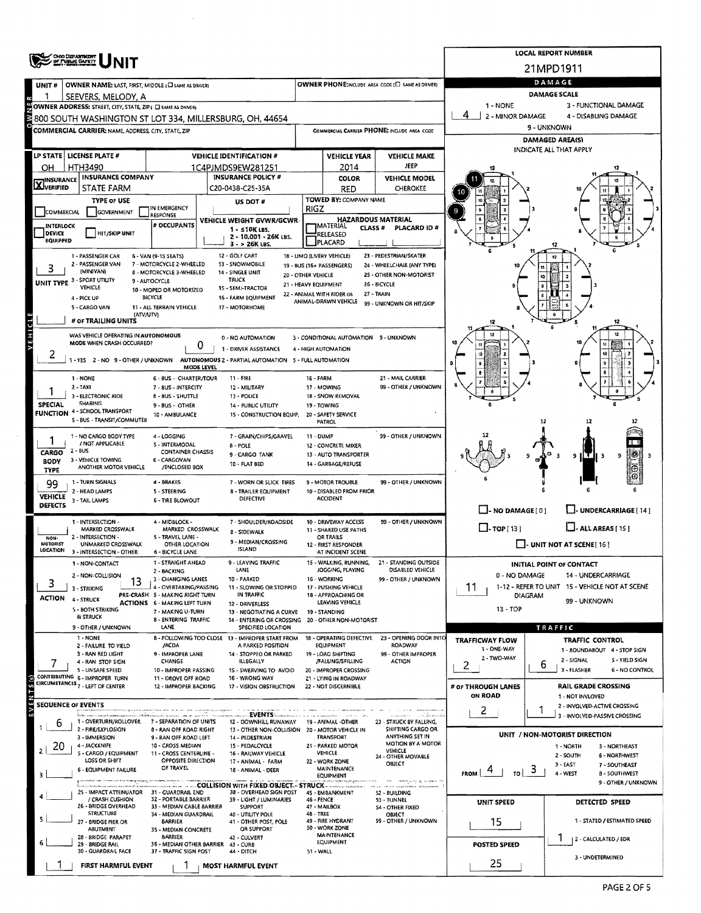| <b>CHOO DEPARTMENT<br/>OF PUBLIC BAFETT</b>                                                                                                                                                                                                        |                                                 |                                                                                    |                                                           |                         |                                                                         |                      |                                                     |                                                   | <b>LOCAL REPORT NUMBER</b>                                                                                                    |                       |                                                                      |  |  |  |  |  |
|----------------------------------------------------------------------------------------------------------------------------------------------------------------------------------------------------------------------------------------------------|-------------------------------------------------|------------------------------------------------------------------------------------|-----------------------------------------------------------|-------------------------|-------------------------------------------------------------------------|----------------------|-----------------------------------------------------|---------------------------------------------------|-------------------------------------------------------------------------------------------------------------------------------|-----------------------|----------------------------------------------------------------------|--|--|--|--|--|
|                                                                                                                                                                                                                                                    |                                                 |                                                                                    |                                                           |                         |                                                                         |                      |                                                     |                                                   | 21MPD1911                                                                                                                     |                       |                                                                      |  |  |  |  |  |
| UNIT#                                                                                                                                                                                                                                              |                                                 | OWNER NAME: LAST, FIRST, MIDDLE (C) SAME AS DRIVER)                                |                                                           |                         |                                                                         |                      |                                                     | OWNER PHONE:INCLUDE AREA CODE (E) SAME AS DRIVER) | DAMAGE<br><b>DAMAGE SCALE</b>                                                                                                 |                       |                                                                      |  |  |  |  |  |
|                                                                                                                                                                                                                                                    |                                                 | SEEVERS, MELODY, A<br>OWNER ADDRESS: STREET, CITY, STATE, ZIP ( C) SAME AS DRIVER) |                                                           |                         |                                                                         |                      |                                                     |                                                   |                                                                                                                               | 3 - FUNCTIONAL DAMAGE |                                                                      |  |  |  |  |  |
|                                                                                                                                                                                                                                                    |                                                 |                                                                                    |                                                           |                         | 800 SOUTH WASHINGTON ST LOT 334, MILLERSBURG, OH, 44654                 |                      |                                                     |                                                   | 1 - NONE<br>2 - MINOR DAMAGE<br>4 - DISABLING DAMAGE                                                                          |                       |                                                                      |  |  |  |  |  |
|                                                                                                                                                                                                                                                    |                                                 | COMMERCIAL CARRIER: NAME, ADDRESS, CITY, STATE, ZIP                                |                                                           |                         |                                                                         |                      |                                                     | COMMERCIAL CARRIER PHONE: INCLUDE AREA CODE       |                                                                                                                               |                       | 9 - UNKNOWN                                                          |  |  |  |  |  |
|                                                                                                                                                                                                                                                    |                                                 |                                                                                    |                                                           |                         |                                                                         |                      |                                                     |                                                   |                                                                                                                               |                       | <b>DAMAGED AREA(S)</b><br>INDICATE ALL THAT APPLY                    |  |  |  |  |  |
| LP STATE LICENSE PLATE #                                                                                                                                                                                                                           |                                                 |                                                                                    |                                                           |                         | <b>VEHICLE IDENTIFICATION #</b>                                         |                      | <b>VEHICLE YEAR</b>                                 | <b>VEHICLE MAKE</b>                               |                                                                                                                               |                       |                                                                      |  |  |  |  |  |
| OН                                                                                                                                                                                                                                                 | HTH3490                                         | <b>INSURANCE COMPANY</b>                                                           |                                                           |                         | 1C4PJMDS9EW281251<br><b>INSURANCE POLICY #</b>                          |                      | 2014<br><b>COLOR</b>                                | <b>JEEP</b><br><b>VEHICLE MODEL</b>               |                                                                                                                               |                       |                                                                      |  |  |  |  |  |
| $\sum$ INSURANCE                                                                                                                                                                                                                                   |                                                 | <b>STATE FARM</b>                                                                  |                                                           |                         | C20-0438-C25-35A                                                        |                      | RED                                                 | <b>CHEROKEE</b>                                   |                                                                                                                               |                       |                                                                      |  |  |  |  |  |
|                                                                                                                                                                                                                                                    |                                                 | <b>TYPE OF USE</b>                                                                 | IN EMERGENCY                                              |                         | US DOT #                                                                | <b>RIGZ</b>          | TOWED BY: COMPANY NAME                              |                                                   |                                                                                                                               |                       |                                                                      |  |  |  |  |  |
| COMMERCIAL                                                                                                                                                                                                                                         |                                                 | GOVERNMENT                                                                         | <b>RESPONSE</b>                                           |                         | VEHICLE WEIGHT GVWR/GCWR                                                |                      | <b>HAZARDOUS MATERIAL</b>                           |                                                   |                                                                                                                               |                       |                                                                      |  |  |  |  |  |
| <b>INTERLOCK</b><br>DEVICE                                                                                                                                                                                                                         |                                                 | <b>HIT/SKIP UNIT</b>                                                               | # OCCUPANTS                                               |                         | $1 - 510K$ LBS.<br>2 - 10,001 - 26K LBS.                                |                      | <b>MATERIAL</b><br><b>CLASS#</b><br><b>RELEASED</b> | PLACARD ID #                                      |                                                                                                                               |                       |                                                                      |  |  |  |  |  |
| EQUIPPED                                                                                                                                                                                                                                           |                                                 |                                                                                    |                                                           |                         | $3 - 26K$ LBS.                                                          |                      | PLACARD                                             |                                                   |                                                                                                                               |                       |                                                                      |  |  |  |  |  |
| 23 - PEDESTRIAN/SKATER<br>1 - PASSENGER CAR<br>6 - VAN (9-15 SEATS)<br>12 - GOLF CART<br>1B - LIMO (LIVERY VEHICLE)<br>2 - PASSENGER VAN<br>7 - MOTORCYCLE 2-WHEELED<br>13 - SNOWMOBILE<br>24 - WHEELCHAIR (ANY TYPE)<br>19 - BUS (16+ PASSENGERS) |                                                 |                                                                                    |                                                           |                         |                                                                         |                      |                                                     |                                                   |                                                                                                                               |                       |                                                                      |  |  |  |  |  |
| UNIT TYPE 3 - SPORT UTILITY                                                                                                                                                                                                                        | (MINIVAN)                                       | 8 - MOTORCYCLE 3-WHEELED<br>9 - AUTOCYCLE                                          | 14 - SINGLE UNIT                                          | 25 - OTHER NON-MOTORIST |                                                                         |                      |                                                     |                                                   |                                                                                                                               |                       |                                                                      |  |  |  |  |  |
|                                                                                                                                                                                                                                                    | VEHICLE                                         |                                                                                    | 10 - MOPED OR MOTORIZED                                   |                         | 15 - SEMI-TRACTOR                                                       | 21 - HEAVY EQUIPMENT | 22 - ANIMAL WITH RIDER OR                           | 26 - BICYCLE<br>27 - TRAIN                        |                                                                                                                               |                       |                                                                      |  |  |  |  |  |
|                                                                                                                                                                                                                                                    | 4 - PICK UP<br>5 - CARGO VAN                    |                                                                                    | BICYCLE<br>11 - ALL TERRAIN VEHICLE                       |                         | 16 - FARM EQUIPMENT<br>17 - MOTORHOME                                   |                      | ANIMAL-DRAWN VEHICLE                                | 99 - UNKNOWN OR HIT/SKIP                          |                                                                                                                               |                       |                                                                      |  |  |  |  |  |
|                                                                                                                                                                                                                                                    |                                                 | (ATV/UTV)<br># OF TRAILING UNITS                                                   |                                                           |                         |                                                                         |                      |                                                     |                                                   |                                                                                                                               |                       |                                                                      |  |  |  |  |  |
| VEHICLE                                                                                                                                                                                                                                            |                                                 | WAS VEHICLE OPERATING IN AUTONOMOUS                                                |                                                           |                         | 0 - NO AUTOMATION                                                       |                      | 3 - CONDITIONAL AUTOMATION 9 - UNKNOWN              |                                                   |                                                                                                                               |                       |                                                                      |  |  |  |  |  |
|                                                                                                                                                                                                                                                    |                                                 | MODE WHEN CRASH OCCURRED?                                                          |                                                           | 0                       | 1 - DRIVER ASSISTANCE                                                   |                      | 4 - HIGH AUTOMATION                                 |                                                   |                                                                                                                               | 10                    |                                                                      |  |  |  |  |  |
| ۷                                                                                                                                                                                                                                                  |                                                 | -YES 2-NO 9-OTHER / UNKNOWN                                                        |                                                           | MODE LEVEL              | AUTONOMOUS 2 - PARTIAL AUTOMATION 5 - FULL AUTOMATION                   |                      |                                                     |                                                   |                                                                                                                               |                       |                                                                      |  |  |  |  |  |
|                                                                                                                                                                                                                                                    | 1 - NONE                                        |                                                                                    | 6 - BUS - CHARTER/TOUR                                    |                         | <b>11 - FIRE</b>                                                        | <b>16 - FARM</b>     |                                                     | 21 - MAIL CARRIER                                 |                                                                                                                               |                       |                                                                      |  |  |  |  |  |
|                                                                                                                                                                                                                                                    | $2 - TAXI$                                      | 3 - ELECTRONIC RIDE                                                                | 7 - BUS - INTERCITY<br>8 - BUS - SHUTTLE                  |                         | 12 - MILITARY<br>13 - POLICE                                            |                      | 17 - MOWING<br>18 - SNOW REMOVAL                    | 99 - OTHER / UNKNOWN                              |                                                                                                                               |                       |                                                                      |  |  |  |  |  |
| SPECIAL                                                                                                                                                                                                                                            | <b>SHARING</b>                                  | <b>FUNCTION 4 - SCHOOL TRANSPORT</b>                                               | 9 - BUS - OTHER                                           |                         | 14 - PUBLIC UTILITY                                                     |                      | 19 - TOWING                                         |                                                   |                                                                                                                               |                       |                                                                      |  |  |  |  |  |
|                                                                                                                                                                                                                                                    |                                                 | 5 - BUS - TRANSIT/COMMUTER                                                         | 10 - AMBULANCE<br>15 - CONSTRUCTION EQUIP.                |                         |                                                                         |                      | 20 - SAFETY SERVICE<br><b>PATROL</b>                |                                                   |                                                                                                                               | 12                    |                                                                      |  |  |  |  |  |
|                                                                                                                                                                                                                                                    |                                                 | 1 - NO CARGO BODY TYPE                                                             | 4 - LOGGING                                               |                         | 7 - GRAIN/CHIPS/GRAVEL                                                  | 11 - DUMP            |                                                     | 99 - OTHER / UNKNOWN                              |                                                                                                                               |                       |                                                                      |  |  |  |  |  |
| CARGO                                                                                                                                                                                                                                              | 2 - BUS                                         | / NOT APPLICABLE                                                                   | 5 - INTERMODAL<br><b>CONTAINER CHASSIS</b>                |                         | 8 - FOLE<br>9 - CARGO TANK                                              |                      | 12 - CONCRETE MIXER<br>13 - AUTO TRANSPORTER        |                                                   |                                                                                                                               |                       | ŋ,                                                                   |  |  |  |  |  |
| <b>BODY</b>                                                                                                                                                                                                                                        |                                                 | 3 - VEHICLE TOWING<br>ANOTHER MOTOR VEHICLE                                        | 6 - CARGOVAN<br>/ENCLOSED BOX                             |                         | 10 - FLAT BED                                                           |                      | 14 - GARBAGE/REFUSE                                 |                                                   |                                                                                                                               |                       | 9                                                                    |  |  |  |  |  |
| TYPE<br>99                                                                                                                                                                                                                                         |                                                 | 1 - TURN SIGNALS                                                                   | 4 BRAKES                                                  |                         | 7 - WORN OR SLICK TIRES                                                 |                      | 9 - MOTOR TROUBLE                                   | 99 - OTHER / UNKNOWN                              |                                                                                                                               |                       |                                                                      |  |  |  |  |  |
| <b>VEHICLE</b>                                                                                                                                                                                                                                     |                                                 | 2 - HEAD LAMPS                                                                     | 5 - STEERING                                              |                         | 8 - TRAILER EQUIPMENT<br>DEFECTIVE                                      |                      | 10 - DISABLED FROM PRIOR<br><b>ACCIDENT</b>         |                                                   |                                                                                                                               |                       |                                                                      |  |  |  |  |  |
| <b>DEFECTS</b>                                                                                                                                                                                                                                     | 3 - TAIL LAMPS                                  |                                                                                    | 6 - TIRE BLOWOUT                                          |                         |                                                                         |                      |                                                     |                                                   | $\Box$ - NO DAMAGE $[0]$<br>J- UNDERCARRIAGE [ 14 ]<br>$\Box$ -TOP[13]<br>$L$ -ALLAREAS $[15]$                                |                       |                                                                      |  |  |  |  |  |
|                                                                                                                                                                                                                                                    |                                                 | 1 - INTERSECTION -<br>MARKED CROSSWALK                                             | 4 - MIDBLOCK -<br>MARKED CROSSWALK                        |                         | 7 - SHOULDER/ROADSIDE                                                   |                      | 10 - DRIVEWAY ACCESS                                | 99 - OTHER / UNKNOWN                              |                                                                                                                               |                       |                                                                      |  |  |  |  |  |
| NON-<br>MOTORIST                                                                                                                                                                                                                                   |                                                 | 2 - INTERSECTION -                                                                 | 5 - TRAVEL LANE -                                         |                         | <b>8 - SIDEWALK</b><br>9 - MEDIAN/CROSSING                              |                      | 11 - SHARED USE PATHS<br>OR TRAILS                  |                                                   | $\Box$ - UNIT NOT AT SCENE [16]                                                                                               |                       |                                                                      |  |  |  |  |  |
| LOCATION                                                                                                                                                                                                                                           |                                                 | UNMARKED CROSSWALK<br>3 - INTERSECTION - OTHER                                     | OTHER LOCATION<br><b>6 - BICYCLE LANE</b>                 |                         | <b>ISLAND</b>                                                           |                      | 12 - FIRST RESPONDER<br>AT INCIDENT SCENE           |                                                   |                                                                                                                               |                       |                                                                      |  |  |  |  |  |
|                                                                                                                                                                                                                                                    |                                                 | 1 - NON-CONTACT                                                                    | 1 - STRAIGHT AHEAD<br>2 - BACKING                         |                         | 9 - I FAVING TRAFFIC<br>LANE                                            |                      | 15 - WALKING, RUNNING,<br>JOGGING, PLAYING          | <b>21 - STANDING OUTSIDE</b><br>DISABLED VEHICLE  |                                                                                                                               |                       | INITIAL POINT OF CONTACT                                             |  |  |  |  |  |
| 3                                                                                                                                                                                                                                                  |                                                 | 2 - NON-COLLISION<br>13                                                            | 3 - CHANGING LANES                                        |                         | 10 - PARKED                                                             |                      | 16 - WORKING                                        | 99 - OTHER / UNKNOWN                              | 0 - NO DAMAGE<br>14 - UNDERCARRIAGE<br>11<br>1-12 - REFER TO UNIT 15 - VEHICLE NOT AT SCENE<br><b>DIAGRAM</b><br>99 - UNKNOWN |                       |                                                                      |  |  |  |  |  |
| <b>ACTION</b>                                                                                                                                                                                                                                      | 3 - STRIKING<br>4 - STRUCK                      |                                                                                    | 4 - OVERTAKING/PASSING<br>PRE-CRASH 5 - MAKING RIGHT TURN |                         | 11 - SLOWING OR STOPPED<br>IN TRAFFIC                                   |                      | 17 - PUSHING VEHICLE<br>18 - APPROACHING OR         |                                                   |                                                                                                                               |                       |                                                                      |  |  |  |  |  |
|                                                                                                                                                                                                                                                    |                                                 | 5 - BOTH STRIKING                                                                  | <b>ACTIONS 6 - MAKING LEFT TURN</b><br>7 - MAKING U-TURN  |                         | 12 - DRIVERLESS<br>13 - NEGOTIATING A CURVE                             |                      | LEAVING VEHICLE<br>19 - STANDING                    |                                                   | 13 - TOP                                                                                                                      |                       |                                                                      |  |  |  |  |  |
|                                                                                                                                                                                                                                                    | & STRUCK                                        | 9 - OTHER / UNKNOWN                                                                | 8 - ENTERING TRAFFIC<br><b>LANE</b>                       |                         | 14 - ENTERING OR CROSSING 20 - OTHER NON-MOTORIST<br>SPECIFIED LOCATION |                      |                                                     |                                                   |                                                                                                                               |                       | TRAFFIC                                                              |  |  |  |  |  |
|                                                                                                                                                                                                                                                    | 1 - NONE                                        |                                                                                    |                                                           |                         | 8 - FOLLOWING TOO CLOSE 13 - IMPROPER START FROM                        |                      | 18 - OPERATING DEFECTIVE<br><b>EQUIPMENT</b>        | 23 - OPENING DOOR INTO<br><b>ROADWAY</b>          | <b>TRAFFICWAY FLOW</b>                                                                                                        |                       | <b>TRAFFIC CONTROL</b>                                               |  |  |  |  |  |
|                                                                                                                                                                                                                                                    |                                                 | 2 - FAILURE TO YIELD<br>3 - RAN RED LIGHT                                          | /ACDA<br>9 - IMPROPER LANE                                |                         | A PARKED POSITION<br>14 - STOPPED OR PARKED                             |                      | 19 - LOAD SHIFTING                                  | 99 - OTHER IMPROPER                               | 1 - ONE-WAY<br>2 - TWO-WAY                                                                                                    |                       | 1 - ROUNDABOUT 4 - STOP SIGN                                         |  |  |  |  |  |
|                                                                                                                                                                                                                                                    |                                                 | 4 - RAN STOP SIGN<br>S - UNSAFE SPEED                                              | CHANGE<br>10 - IMPROPER PASSING                           |                         | <b>ILLEGALLY</b><br>1S - SWERVING TO AVOID                              |                      | /FALLING/SPILLING<br>20 - IMPROPER CROSSING         | <b>ACTION</b>                                     | 2                                                                                                                             | ь                     | 2 - SIGNAL<br>S - YIELD SIGN<br>3 - FLASHER<br><b>6 - NO CONTROL</b> |  |  |  |  |  |
|                                                                                                                                                                                                                                                    |                                                 | CONTRIBUTING 6 - IMPROPER TURN<br>CIRCUMSTANCES <sub>7</sub> - LEFT OF CENTER      | 11 - DROVE OFF ROAD<br>12 - IMPROPER BACKING              |                         | 16 - WRONG WAY<br>17 - VISION OBSTRUCTION                               |                      | 21 - LYING IN ROADWAY<br>22 - NOT DISCERNIBLE       |                                                   | # OF THROUGH LANES                                                                                                            |                       | <b>RAIL GRADE CROSSING</b>                                           |  |  |  |  |  |
| EVENTS(s)                                                                                                                                                                                                                                          |                                                 |                                                                                    |                                                           |                         |                                                                         |                      |                                                     |                                                   | ON ROAD                                                                                                                       |                       | 1 - NOT INVLOVED                                                     |  |  |  |  |  |
|                                                                                                                                                                                                                                                    | <b>SEQUENCE OF EVENTS</b><br>.<br>Waliofania wa |                                                                                    |                                                           |                         | <b>EVENTS:</b>                                                          |                      |                                                     | successor in the forest                           | 2                                                                                                                             |                       | 2 - INVOLVED-ACTIVE CROSSING<br>3 - INVOLVED-PASSIVE CROSSING        |  |  |  |  |  |
| b                                                                                                                                                                                                                                                  |                                                 | 1 - OVERTURN/ROLLOVER<br>2 - FIRE/EXPLOSION                                        | 7 - SEPARATION OF UNITS<br>8 - RAN OFF ROAD RIGHT         |                         | 12 - DOWNHILL RUNAWAY<br>13 - OTHER NON-COLLISION 20 - MOTOR VEHICLE IN |                      | 19 - ANIMAL -OTHER                                  | 23 - STRUCK BY FALLING,<br>SHIFTING CARGO OR      |                                                                                                                               |                       |                                                                      |  |  |  |  |  |
| 20                                                                                                                                                                                                                                                 |                                                 | 3 - IMMERSION<br>4 - JACKKNIFE                                                     | 9 - RAN OFF ROAD LEFT<br>10 - CROSS MEDIAN                |                         | 14 - PEDESTRIAN<br>15 - PEDALCYCLE                                      |                      | <b>TRANSPORT</b><br>21 - PARKED MOTOR               | ANYTHING SET IN<br><b>MOTION BY A MOTOR</b>       |                                                                                                                               |                       | UNIT / NON-MOTORIST DIRECTION<br>1 - NORTH<br>5 - NORTHEAST          |  |  |  |  |  |
|                                                                                                                                                                                                                                                    |                                                 | S - CARGO / EQUIPMENT<br>LOSS OR SHIFT                                             | 11 - CROSS CENTERLINE -<br><b>OPPOSITE DIRECTION</b>      |                         | 16 - RAILWAY VEHICLE                                                    |                      | <b>VEHICLE</b>                                      | VEHICLE<br>24 - OTHER MOVABLE                     |                                                                                                                               |                       | 2 - SOUTH<br>6 - NORTHWEST                                           |  |  |  |  |  |
|                                                                                                                                                                                                                                                    |                                                 | <b>6 - EQUIPMENT FAILURE</b>                                                       | OF TRAVEL                                                 |                         | 17 - ANIMAL - FARM<br>18 - ANIMAL - DEER                                |                      | 22 - WORK ZONE<br><b>MAINTENANCE</b>                | OBJECT                                            | TO I<br><b>FROM</b>                                                                                                           | ు                     | 3 - EAST<br>7 - SOUTHEAST<br>4 - WEST<br><b>B-SOUTHWEST</b>          |  |  |  |  |  |
|                                                                                                                                                                                                                                                    |                                                 | an an stritonologic management                                                     |                                                           |                         |                                                                         |                      | EQUIPMENT                                           | <b>MANUFACTURERS OF THE SERVICE</b>               |                                                                                                                               |                       | 9 - OTHER / UNKNOWN                                                  |  |  |  |  |  |
|                                                                                                                                                                                                                                                    |                                                 | 25 - IMPACT ATTENUATOR 31 - GUARDRAIL END<br>/ CRASH CUSHION                       | 32 - PORTABLE BARRIER                                     |                         | 38 - OVERHEAD SIGN POST<br>39 - LIGHT / LUMINARIES                      | 46 - FENCE           | 45 - EMBANKMENT                                     | 52 - BUILDING<br>53 - TUNNEL                      | <b>UNIT SPEED</b>                                                                                                             |                       | DETECTED SPEED                                                       |  |  |  |  |  |
|                                                                                                                                                                                                                                                    |                                                 | 26 - BRIDGE OVERHEAD<br><b>STRUCTURE</b>                                           | 33 - MEDIAN CABLE BARRIER<br>34 - MEDIAN GUARDRAIL        |                         | <b>SUPPORT</b><br>40 - UTILITY POLE                                     | <b>48 - TREE</b>     | 47 - MAILBOX                                        | S4 - OTHER FIXED<br>OBJECT                        |                                                                                                                               |                       |                                                                      |  |  |  |  |  |
|                                                                                                                                                                                                                                                    |                                                 | 27 - BRIDGE PIER OR<br>ABUTMENT                                                    | BARRIER<br>35 - MEDIAN CONCRETE                           |                         | 41 - OTHER POST, POLE<br>OR SUPPORT                                     |                      | 49 - FIRE HYDRANT<br>50 - WORK ZONE                 | 99 - OTHER / UNKNOWN                              | 15                                                                                                                            |                       | 1 - STATED / ESTIMATED SPEED                                         |  |  |  |  |  |
|                                                                                                                                                                                                                                                    |                                                 | 28 - BRIDGE PARAPET<br>29 - BRIDGE RAIL                                            | <b>BARRIER</b><br>36 - MEDIAN OTHER BARRIER 43 - CURB     |                         | 42 - CULVERT                                                            |                      | MAINTENANCE<br><b>EQUIPMENT</b>                     |                                                   | <b>POSTED SPEED</b>                                                                                                           |                       | 2 - CALCULATED / EDR                                                 |  |  |  |  |  |
|                                                                                                                                                                                                                                                    |                                                 | 30 - GUARDRAIL FACE                                                                | 37 - TRAFFIC SIGN POST                                    |                         | 44 - DITCH                                                              | 51 - WALL            |                                                     |                                                   |                                                                                                                               |                       | 3 - UNDETERMINED                                                     |  |  |  |  |  |
|                                                                                                                                                                                                                                                    |                                                 | FIRST HARMFUL EVENT                                                                |                                                           |                         | <b>MOST HARMFUL EVENT</b>                                               |                      |                                                     |                                                   | 25                                                                                                                            |                       |                                                                      |  |  |  |  |  |

 $\hat{\mathcal{A}}$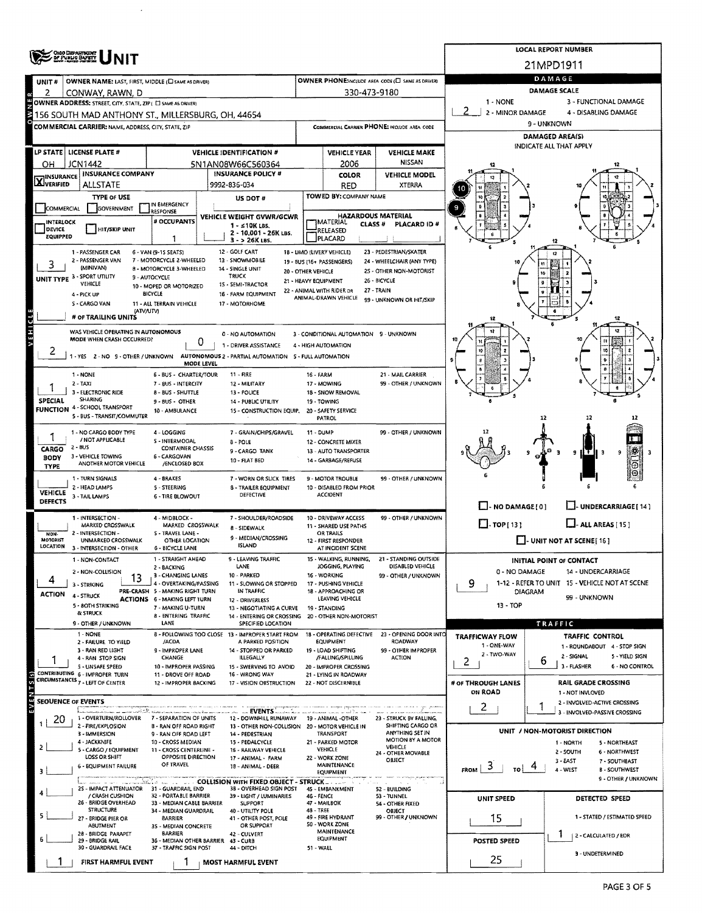|                                                                                                                                                                                                                                                    | <b>ENDERED UNIT</b>                                                                                                |                                                               | <b>LOCAL REPORT NUMBER</b>                                                                                                                                     |             |                                                                |                                                    |                                                                                |                                                           |  |  |  |  |  |  |
|----------------------------------------------------------------------------------------------------------------------------------------------------------------------------------------------------------------------------------------------------|--------------------------------------------------------------------------------------------------------------------|---------------------------------------------------------------|----------------------------------------------------------------------------------------------------------------------------------------------------------------|-------------|----------------------------------------------------------------|----------------------------------------------------|--------------------------------------------------------------------------------|-----------------------------------------------------------|--|--|--|--|--|--|
|                                                                                                                                                                                                                                                    |                                                                                                                    |                                                               |                                                                                                                                                                |             |                                                                |                                                    | 21MPD1911                                                                      |                                                           |  |  |  |  |  |  |
| UNIT#                                                                                                                                                                                                                                              | OWNER NAME: LAST, FIRST, MIDDLE (C) SAME AS DRIVERY                                                                |                                                               |                                                                                                                                                                |             |                                                                | OWNER PHONE: INCLUDE AREA CODE (E) SAME AS DRIVERI |                                                                                | DAMAGE                                                    |  |  |  |  |  |  |
| 2                                                                                                                                                                                                                                                  | CONWAY, RAWN, D                                                                                                    |                                                               |                                                                                                                                                                |             | 330-473-9180                                                   |                                                    |                                                                                | <b>DAMAGE SCALE</b><br>3 - FUNCTIONAL DAMAGE              |  |  |  |  |  |  |
|                                                                                                                                                                                                                                                    | OWNER ADDRESS: STREET, CITY, STATE, ZIP ( E) SAME AS DRIVERY<br>3156 SOUTH MAD ANTHONY ST., MILLERSBURG, OH, 44654 |                                                               |                                                                                                                                                                |             |                                                                |                                                    | 1 - NONE<br>2 - MINOR DAMAGE<br>4 - DISABLING DAMAGE                           |                                                           |  |  |  |  |  |  |
|                                                                                                                                                                                                                                                    | <b>COMMERCIAL CARRIER: NAME, ADDRESS, CITY, STATE, ZIP</b>                                                         |                                                               |                                                                                                                                                                |             |                                                                | COMMERCIAL CARRIER PHONE: INCLUDE AREA CODE        |                                                                                | 9 - UNKNOWN                                               |  |  |  |  |  |  |
|                                                                                                                                                                                                                                                    |                                                                                                                    |                                                               |                                                                                                                                                                |             |                                                                |                                                    |                                                                                | <b>DAMAGED AREA(S)</b>                                    |  |  |  |  |  |  |
|                                                                                                                                                                                                                                                    | LP STATE   LICENSE PLATE #                                                                                         |                                                               | <b>VEHICLE IDENTIFICATION #</b>                                                                                                                                |             | <b>VEHICLE YEAR</b>                                            | <b>VEHICLE MAKE</b>                                |                                                                                | INDICATE ALL THAT APPLY                                   |  |  |  |  |  |  |
| он                                                                                                                                                                                                                                                 | <b>JCN1442</b>                                                                                                     |                                                               | 5N1AN08W66C560364                                                                                                                                              |             | 2006                                                           | <b>NISSAN</b>                                      |                                                                                |                                                           |  |  |  |  |  |  |
| <b>X</b> <sup>INSURANCE</sup>                                                                                                                                                                                                                      | <b>INSURANCE COMPANY</b>                                                                                           |                                                               | <b>INSURANCE POLICY #</b>                                                                                                                                      |             | <b>COLOR</b>                                                   | <b>VEHICLE MODEL</b>                               |                                                                                |                                                           |  |  |  |  |  |  |
|                                                                                                                                                                                                                                                    | <b>ALLSTATE</b>                                                                                                    |                                                               | 9992-836-034                                                                                                                                                   |             | <b>RED</b><br>TOWED BY: COMPANY NAME                           | XTERRA                                             |                                                                                |                                                           |  |  |  |  |  |  |
| COMMERCIAL                                                                                                                                                                                                                                         | <b>TYPE OF USE</b><br>GOVERNMENT                                                                                   | IN EMERGENCY                                                  | US DOT#                                                                                                                                                        |             |                                                                |                                                    |                                                                                |                                                           |  |  |  |  |  |  |
| <b>INTERLOCK</b>                                                                                                                                                                                                                                   |                                                                                                                    | RESPONSE<br># OCCUPANTS                                       | VEHICLE WEIGHT GVWR/GCWR                                                                                                                                       |             | <b>HAZARDOUS MATERIAL</b><br><b>JMATERIAL</b><br><b>CLASS#</b> | PLACARD ID #                                       |                                                                                |                                                           |  |  |  |  |  |  |
| DEVICE<br><b>EQUIPPED</b>                                                                                                                                                                                                                          | HIT/SKIP UNIT                                                                                                      |                                                               | $1 - 510K$ LBS.<br>2 - 10,001 - 26K LBS.                                                                                                                       |             | RELEASED                                                       |                                                    |                                                                                |                                                           |  |  |  |  |  |  |
|                                                                                                                                                                                                                                                    |                                                                                                                    | 1                                                             | $3 - 26K$ LBS.                                                                                                                                                 |             | PLACARD                                                        |                                                    |                                                                                |                                                           |  |  |  |  |  |  |
| 1 - PASSENGER CAR<br>6 - VAN (9-15 SEATS)<br>12 - GOLF CART<br>18 - LIMO (LIVERY VEHICLE)<br>23 - PEDESTRIAN/SKATER<br>2 - PASSENGER VAN<br>7 - MOTORCYCLE 2-WHEELED<br>13 - SNOWMOBILE<br>24 - WHEELCHAIR (ANY TYPE)<br>19 - BUS (16+ PASSENGERS) |                                                                                                                    |                                                               |                                                                                                                                                                |             |                                                                |                                                    |                                                                                |                                                           |  |  |  |  |  |  |
|                                                                                                                                                                                                                                                    | (MINIVAN)<br>UNIT TYPE 3 - SPORT UTILITY                                                                           | 8 - MOTORCYCLE 3-WHEELED<br>14 - SINGLE UNIT<br>9 - AUTOCYCLE | 25 - OTHER NON-MOTORIST                                                                                                                                        |             |                                                                |                                                    |                                                                                |                                                           |  |  |  |  |  |  |
|                                                                                                                                                                                                                                                    | VEHICLE                                                                                                            | 10 - MOPED OR MOTORIZED                                       | 15 - SEMI-TRACTOR                                                                                                                                              |             | 21 - HEAVY EQUIPMENT<br>22 - ANIMAL WITH RIDER DR              | 26 - BICYCLE<br>27 - TRAIN                         |                                                                                |                                                           |  |  |  |  |  |  |
|                                                                                                                                                                                                                                                    | 4 - PICK UP<br>S - CARGO VAN                                                                                       | <b>BICYCLE</b><br>11 - ALL TERRAIN VEHICLE                    | 16 - FARM EQUIPMENT<br>17 - MOTORHOME                                                                                                                          |             | ANIMAL-DRAWN VEHICLE                                           | 99 - UNKNOWN OR HIT/SKIP                           |                                                                                |                                                           |  |  |  |  |  |  |
|                                                                                                                                                                                                                                                    | (ATV/UTV)<br># OF TRAILING UNITS                                                                                   |                                                               |                                                                                                                                                                |             |                                                                |                                                    | 12                                                                             |                                                           |  |  |  |  |  |  |
| VEHICLE                                                                                                                                                                                                                                            | WAS VEHICLE OPERATING IN AUTONOMOUS                                                                                |                                                               | 0 - NO AUTOMATION                                                                                                                                              |             |                                                                |                                                    |                                                                                |                                                           |  |  |  |  |  |  |
|                                                                                                                                                                                                                                                    | MODE WHEN CRASH OCCURRED?                                                                                          | 0                                                             | 1 - DRIVER ASSISTANCE                                                                                                                                          |             | 3 - CONDITIONAL AUTOMATION 9 - UNKNOWN<br>4 - HIGH AUTOMATION  |                                                    |                                                                                |                                                           |  |  |  |  |  |  |
| ۷                                                                                                                                                                                                                                                  |                                                                                                                    |                                                               | 1 - YES 2 - NO 9 - OTHER / UNKNOWN AUTONOMOUS 2 - PARTIAL AUTOMATION 5 - FULL AUTOMATION                                                                       |             |                                                                |                                                    |                                                                                |                                                           |  |  |  |  |  |  |
|                                                                                                                                                                                                                                                    |                                                                                                                    | <b>MODE LEVEL</b>                                             |                                                                                                                                                                |             |                                                                |                                                    |                                                                                |                                                           |  |  |  |  |  |  |
|                                                                                                                                                                                                                                                    | 1 - NONE<br>$2 - TAXi$                                                                                             | <b>6 - BUS - CHARTER/TOUR</b><br>7 - 8US - INTERCITY          | $11 - FIRE$<br>12 - MILITARY                                                                                                                                   | 16 - FARM   | 17 - MOWING                                                    | 21 - MAIL CARRIER<br>99 - OTHER / UNKNOWN          |                                                                                |                                                           |  |  |  |  |  |  |
| SPECIAL                                                                                                                                                                                                                                            | 3 - ELECTRONIC RIDE<br><b>SHARING</b>                                                                              | 8 - BUS - SHUTTLE<br>9 - BUS - OTHER                          | 13 - POLICE                                                                                                                                                    |             | 18 - SNOW REMOVAL                                              |                                                    |                                                                                |                                                           |  |  |  |  |  |  |
|                                                                                                                                                                                                                                                    | <b>FUNCTION 4 - SCHOOL TRANSPORT</b>                                                                               | 10 - AMBULANCE                                                | 14 - PUBLIC UTILITY<br>15 - CONSTRUCTION EQUIP. 20 - SAFETY SERVICE                                                                                            |             | 19 - TOWING                                                    |                                                    |                                                                                |                                                           |  |  |  |  |  |  |
|                                                                                                                                                                                                                                                    | 5 - BUS - TRANSIT/COMMUTER                                                                                         |                                                               |                                                                                                                                                                |             | <b>PATROL</b>                                                  |                                                    |                                                                                | 12                                                        |  |  |  |  |  |  |
|                                                                                                                                                                                                                                                    | 1 - NO CARGO BODY TYPE<br>/ NOT APPLICABLE                                                                         | 4 - LOGGING<br>S - INTERMODAL                                 | 7 - GRAIN/CHIPS/GRAVEL<br>8 - POLE                                                                                                                             | $11 - DUMP$ | 12 - CONCRETE MIXER                                            | 99 - OTHER / UNKNOWN                               |                                                                                |                                                           |  |  |  |  |  |  |
| CARGO                                                                                                                                                                                                                                              | 2 - BUS<br>3 - VEHICLE TOWING                                                                                      | <b>CONTAINER CHASSIS</b>                                      | 9 - CARGO TANK                                                                                                                                                 |             | 13 - AUTO TRANSPORTER                                          |                                                    |                                                                                | 9                                                         |  |  |  |  |  |  |
| <b>BODY</b><br><b>TYPE</b>                                                                                                                                                                                                                         | ANOTHER MOTOR VEHICLE                                                                                              | 6 - CARGOVAN<br>/ENCLOSED BOX                                 | 10 - FLAT BED                                                                                                                                                  |             | 14 - GARBAGE/REFUSE                                            |                                                    |                                                                                |                                                           |  |  |  |  |  |  |
|                                                                                                                                                                                                                                                    | 1 - TURN SIGNALS                                                                                                   | 4 - BRAKES                                                    | 7 - WORN OR SLICK TIRES                                                                                                                                        |             | 9 - MOTOR TROUBLE                                              | 99 - OTHER / UNKNOWN                               |                                                                                |                                                           |  |  |  |  |  |  |
| VEHICLE                                                                                                                                                                                                                                            | 2 - HEAD LAMPS<br>3 - TAIL LAMPS                                                                                   | <b>S - STEERING</b><br><b>6 - TIRE BLOWOUT</b>                | <b>8 - TRAILER EQUIPMENT</b><br>DEFECTIVE                                                                                                                      |             | 10 - DISABLED FROM PRIOR<br><b>ACCIDENT</b>                    |                                                    |                                                                                |                                                           |  |  |  |  |  |  |
| <b>DEFECTS</b>                                                                                                                                                                                                                                     |                                                                                                                    |                                                               |                                                                                                                                                                |             |                                                                |                                                    | $\Box$ - NO DAMAGE [ 0 ]                                                       | L. UNDERCARRIAGE [ 14 ]                                   |  |  |  |  |  |  |
|                                                                                                                                                                                                                                                    | 1 - INTERSECTION -<br>MARKED CROSSWALK                                                                             | 4 - MIDBLOCK -<br>MARKED CROSSWALK                            | 7 - SHOULDER/ROADSIDE                                                                                                                                          |             | 10 - DRIVEWAY ACCESS<br>11 - SHARED USE PATHS                  | 99 - OTHER / UNKNOWN                               | $\Box$ -TOP[13]                                                                | $L$ - ALL AREAS [15]                                      |  |  |  |  |  |  |
| NON-<br><b>MOTORIST</b>                                                                                                                                                                                                                            | 2 - INTERSECTION -<br>UNMARKED CROSSWALK                                                                           | S - TRAVEL LANE -<br>OTHER LOCATION                           | 8 - SIDEWALK<br>9 - MEDIAN/CROSSING                                                                                                                            |             | <b>OR TRAILS</b><br>12 - FIRST RESPONDER                       |                                                    | $\Box$ - UNIT NOT AT SCENE [16]                                                |                                                           |  |  |  |  |  |  |
| LOCATION                                                                                                                                                                                                                                           | 3 - INTERSECTION - OTHER                                                                                           | <b>6 - BICYCLE LANE</b>                                       | <b>ISLAND</b>                                                                                                                                                  |             | AT INCIDENT SCENE                                              |                                                    |                                                                                |                                                           |  |  |  |  |  |  |
|                                                                                                                                                                                                                                                    | 1 - NON-CONTACT                                                                                                    | 1 - STRAIGHT AHEAD<br>2 - BACKING                             | 9 - LEAVING TRAFFIC<br>LANE                                                                                                                                    |             | 15 - WALKING, RUNNING,<br>JOGGING, PLAYING                     | 21 - STANDING OUTSIDE<br>DISABLED VEHICLE          |                                                                                | INITIAL POINT OF CONTACT                                  |  |  |  |  |  |  |
|                                                                                                                                                                                                                                                    | 2 - NON-COLLISION<br>13                                                                                            | 3 - CHANGING LANES                                            | 10 - PARKED                                                                                                                                                    |             | 16 - WORKING                                                   | 99 - OTHER / UNKNOWN                               | 0 - NO DAMAGE                                                                  | 14 - UNDERCARRIAGE                                        |  |  |  |  |  |  |
| <b>ACTION</b>                                                                                                                                                                                                                                      | 3 - STRIKING<br>4 - STRUCK                                                                                         | 4 - OVERTAKING/PASSING<br>PRE-CRASH 5 - MAKING RIGHT TURN     | 11 - SLOWING OR STOPPED<br>IN TRAFFIC                                                                                                                          |             | 17 - PUSHING VEHICLE<br>18 - APPROACHING OR                    |                                                    | 9<br>1-12 - REFER TO UNIT 15 - VEHICLE NOT AT SCENE<br>DIAGRAM<br>99 - UNKNOWN |                                                           |  |  |  |  |  |  |
|                                                                                                                                                                                                                                                    | 5 - 80TH STRIKING                                                                                                  | <b>ACTIONS</b> 6 - MAKING LEFT TURN<br>7 - MAKING U-TURN      | 12 - DRIVERLESS<br>13 - NEGOTIATING A CURVE                                                                                                                    |             | LEAVING VEHICLE<br>19 - STANDING                               |                                                    | 13 - TOP                                                                       |                                                           |  |  |  |  |  |  |
|                                                                                                                                                                                                                                                    | & STRUCK<br>9 - OTHER / UNKNOWN                                                                                    | 8 - ENTERING TRAFFIC<br>LANE                                  | 14 - ENTERING OR CROSSING 20 - OTHER NON-MOTORIST<br>SPECIFIED LOCATION                                                                                        |             |                                                                |                                                    |                                                                                |                                                           |  |  |  |  |  |  |
|                                                                                                                                                                                                                                                    | 1 - NONE                                                                                                           |                                                               | 8 - FOLLOWING TOO CLOSE 13 - IMPROPER START FROM                                                                                                               |             | 18 - OPERATING DEFECTIVE                                       | 23 - OPENING DOOR INTO                             | <b>TRAFFICWAY FLOW</b>                                                         | TRAFFIC<br><b>TRAFFIC CONTROL</b>                         |  |  |  |  |  |  |
|                                                                                                                                                                                                                                                    | 2 - FAILURE TO YIELD<br>3 - RAN RED LIGHT                                                                          | /ACDA<br>9 - IMPROPER LANE                                    | A PARKED POSITION<br>14 - STOPPED OR PARKED                                                                                                                    |             | <b>EQUIPMENT</b><br>19 - LOAD SHIFTING                         | <b>ROADWAY</b><br>99 - OTHER IMPROPER              | 1 - ONE-WAY                                                                    | 1 - ROUNDABOUT 4 - STOP SIGN                              |  |  |  |  |  |  |
|                                                                                                                                                                                                                                                    | 4 - RAN STOP SIGN                                                                                                  | CHANGE                                                        | ILLEGALLY                                                                                                                                                      |             | /FALLING/SPILLING                                              | <b>ACTION</b>                                      | 2 - TWO-WAY<br>2                                                               | 2 - SIGNAL<br>5 - YIELD SIGN<br>6                         |  |  |  |  |  |  |
|                                                                                                                                                                                                                                                    | <b>S - UNSAFE SPEED</b><br>CONTRIBUTING 6 - IMPROPER TURN                                                          | 10 - IMPROPER PASSING<br>11 - DROVE OFF ROAD                  | 15 - SWERVING TO AVOID<br>16 - WRONG WAY                                                                                                                       |             | 20 - IMPROPER CROSSING<br>21 - LYING IN ROADWAY                |                                                    |                                                                                | 3 - FLASHER<br>6 - NO CONTROL                             |  |  |  |  |  |  |
| EVENTS(s)                                                                                                                                                                                                                                          | CIRCUMSTANCES 7 - LEFT OF CENTER                                                                                   | 12 - IMPROPER BACKING                                         | 17 - VISION OBSTRUCTION                                                                                                                                        |             | 22 - NOT DISCERNIBLE                                           |                                                    | # or THROUGH LANES<br>ON ROAD                                                  | <b>RAIL GRADE CROSSING</b><br>1 - NOT INVLOVED            |  |  |  |  |  |  |
|                                                                                                                                                                                                                                                    | <b>SEQUENCE OF EVENTS</b>                                                                                          |                                                               |                                                                                                                                                                |             |                                                                |                                                    |                                                                                | 2 - INVOLVED-ACTIVE CROSSING<br>1                         |  |  |  |  |  |  |
| 20                                                                                                                                                                                                                                                 | aan wadii 1980 wuxuun<br>1 - OVERTURN/ROLLOVER                                                                     | 7 - SEPARATION OF UNITS                                       | 12 - DOWNHILL RUNAWAY                                                                                                                                          |             | 19 - ANIMAL -OTHER                                             | 23 - STRUCK BY FALLING,                            | $\overline{2}$                                                                 | 3 - INVOLVED-PASSIVE CROSSING                             |  |  |  |  |  |  |
|                                                                                                                                                                                                                                                    | 2 - FIRE/EXPLOSION<br>3 - IMMERSION                                                                                | <b>B - RAN OFF ROAD RIGHT</b>                                 | 13 - OTHER NON-COLLISION 20 - MOTOR VEHICLE IN                                                                                                                 |             | TRANSPORT                                                      | SHIFTING CARGO OR<br>ANYTHING SET IN               |                                                                                | UNIT / NON-MOTORIST DIRECTION                             |  |  |  |  |  |  |
| 2                                                                                                                                                                                                                                                  | 4 - JACKKNIFE                                                                                                      | 9 - RAN OFF ROAD LEFT<br>10 - CROSS MEDIAN                    | 14 - PEDESTRIAN<br>15 - PEDALCYCLE                                                                                                                             |             | 21 - PARKED MOTOR                                              | MOTION BY A MOTOR<br><b>VEHICLE</b>                |                                                                                | 1 - NORTH<br>5 - NORTHEAST                                |  |  |  |  |  |  |
|                                                                                                                                                                                                                                                    | 5 - CARGO / EQUIPMENT<br>LOSS OR SHIFT                                                                             | 11 - CROSS CENTERLINE -<br>OPPOSITE DIRECTION                 | 16 - RAILWAY VEHICLE<br>17 - ANIMAL - FARM                                                                                                                     |             | VEHICLE<br>22 - WORK ZONE                                      | 24 - OTHER MOVABLE<br>OBJECT                       |                                                                                | 2 - SOUTH<br>6 - NORTHWEST<br>$3 - EAST$<br>7 - SOUTHEAST |  |  |  |  |  |  |
| в                                                                                                                                                                                                                                                  | <b>6 - EQUIPMENT FAILURE</b>                                                                                       | OF TRAVEL                                                     | 18 - ANIMAL - DEER                                                                                                                                             |             | <b>MAINTENANCE</b><br>EQUIPMENT                                |                                                    | ್<br>FROM<br>тоі                                                               | 4 - WEST<br><b>B - SOUTHWEST</b>                          |  |  |  |  |  |  |
|                                                                                                                                                                                                                                                    |                                                                                                                    |                                                               | <b>A REPORT OF A REPORT OF A RESIDENT ASSESSED ON A REPORT OF A STRUCK LOCAL COLLESION WITH FIXED OBJECT - STRUCK LOCAL CONDUCT</b><br>3B - OVERHEAD SIGN POST |             |                                                                | <b>CALL ATT</b>                                    |                                                                                | 9 - OTHER / UNKNOWN                                       |  |  |  |  |  |  |
|                                                                                                                                                                                                                                                    | 2S - IMPACT ATTENUATOR 31 - GUARDRAIL END<br>/ CRASH CUSHION<br>26 - BRIDGE OVERHEAD                               | 32 - PORTABLE BARRIER                                         | 39 - LIGHT / LUMINARIES                                                                                                                                        | 46 - FENCE  | 45 - EMBANKMENT                                                | 52 - BUILDING<br>53 - TUNNEL                       | UNIT SPEED                                                                     | DETECTED SPEED                                            |  |  |  |  |  |  |
|                                                                                                                                                                                                                                                    | <b>STRUCTURE</b>                                                                                                   | 33 - MEDIAN CABLE BARRIER<br>34 - MEDIAN GUARDRAIL            | SUPPORT<br>40 - UTILITY POLE                                                                                                                                   | 48 - TREE   | 47 - MAILBOX                                                   | 54 - OTHER FIXED<br>OBJECT                         |                                                                                |                                                           |  |  |  |  |  |  |
|                                                                                                                                                                                                                                                    | 27 - BRIDGE PIER OR<br>ABUTMENT                                                                                    | <b>BARRIER</b><br>35 - MEDIAN CONCRETE                        | 41 - OTHER POST, POLE<br>OR SUPPORT                                                                                                                            |             | 49 - FIRE HYDRANT<br>50 - WORK ZONE                            | 99 - OTHER / UNKNOWN                               | 15                                                                             | 1 - STATED / ESTIMATED SPEED                              |  |  |  |  |  |  |
| 6                                                                                                                                                                                                                                                  | 28 - BRIDGE PARAPET<br>29 - BRIDGE RAIL                                                                            | <b>BARRIER</b><br>36 - MEDIAN OTHER BARRIER 43 - CURB         | 42 - CULVERT                                                                                                                                                   |             | MAINTENANCE<br>EQUIPMENT                                       |                                                    | POSTED SPEED                                                                   | 2 - CALCULATED / EDR                                      |  |  |  |  |  |  |
|                                                                                                                                                                                                                                                    | 30 - GUARDRAIL FACE                                                                                                | 37 - TRAFFIC SIGN POST                                        | 44 - DITCH                                                                                                                                                     | 51 - WALL   |                                                                |                                                    |                                                                                | 3 - UNDETERMINED                                          |  |  |  |  |  |  |
|                                                                                                                                                                                                                                                    | FIRST HARMFUL EVENT                                                                                                | ı.                                                            | <b>MOST HARMFUL EVENT</b>                                                                                                                                      |             |                                                                |                                                    | 25                                                                             |                                                           |  |  |  |  |  |  |

 $\mathcal{A}$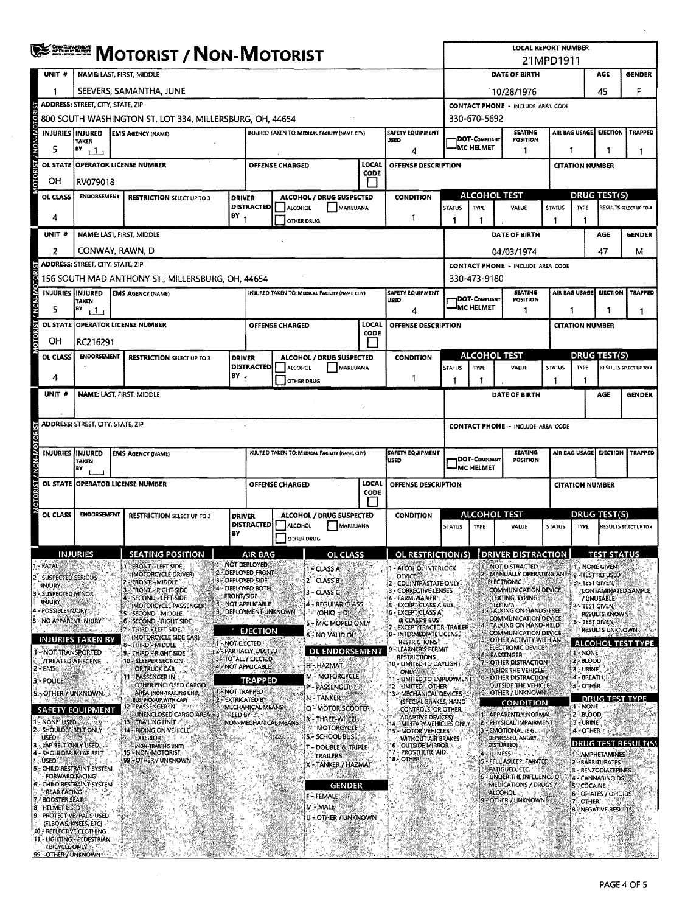|                                                                                      |                                                                    | ONO DEPARTMENT<br><b>MOTORIST / NON-MOTORIST</b>                                                                         |      |                                                               |                                  |                                                                                                                    |                                                                       |                                        |                         |                                                                 |                                                          | <b>LOCAL REPORT NUMBER</b><br>21MPD1911            |                                                                               |               |                                                    |                                         |                        |  |  |
|--------------------------------------------------------------------------------------|--------------------------------------------------------------------|--------------------------------------------------------------------------------------------------------------------------|------|---------------------------------------------------------------|----------------------------------|--------------------------------------------------------------------------------------------------------------------|-----------------------------------------------------------------------|----------------------------------------|-------------------------|-----------------------------------------------------------------|----------------------------------------------------------|----------------------------------------------------|-------------------------------------------------------------------------------|---------------|----------------------------------------------------|-----------------------------------------|------------------------|--|--|
|                                                                                      | UNIT #                                                             | NAME: LAST, FIRST, MIDDLE                                                                                                |      |                                                               |                                  |                                                                                                                    |                                                                       |                                        |                         |                                                                 |                                                          |                                                    | DATE OF BIRTH                                                                 |               |                                                    | AGE                                     | <b>GENDER</b>          |  |  |
|                                                                                      | 1                                                                  |                                                                                                                          |      | SEEVERS, SAMANTHA, JUNE                                       |                                  |                                                                                                                    |                                                                       |                                        |                         |                                                                 |                                                          | F<br>10/28/1976<br>45                              |                                                                               |               |                                                    |                                         |                        |  |  |
|                                                                                      |                                                                    | <b>ADDRESS: STREET, CITY, STATE, ZIP</b>                                                                                 |      |                                                               |                                  |                                                                                                                    |                                                                       |                                        |                         |                                                                 | <b>CONTACT PHONE - INCLUDE AREA CODE</b>                 |                                                    |                                                                               |               |                                                    |                                         |                        |  |  |
|                                                                                      |                                                                    |                                                                                                                          |      | 800 SOUTH WASHINGTON ST. LOT 334, MILLERSBURG, OH, 44654      |                                  |                                                                                                                    |                                                                       |                                        |                         |                                                                 | 330-670-5692                                             |                                                    |                                                                               |               |                                                    |                                         |                        |  |  |
|                                                                                      | <b>INJURIES INJURED</b>                                            | <b>TAKEN</b>                                                                                                             |      | <b>EMS AGENCY (NAME)</b>                                      |                                  | INJURED TAKEN TO: MEDICAL FACILITY (NAME, CITY)<br><b>SAFETY EQUIPMENT</b><br><b>USED</b>                          |                                                                       |                                        |                         |                                                                 |                                                          | <b>SEATING</b><br>DOT-Compliant<br><b>POSITION</b> |                                                                               |               | <b>TRAPPED</b><br>AIR BAG USAGE<br><b>EJECTION</b> |                                         |                        |  |  |
|                                                                                      | 5                                                                  | BY<br>$\mathbf{1}$                                                                                                       |      |                                                               |                                  |                                                                                                                    | 4                                                                     |                                        |                         |                                                                 |                                                          | <sup>I</sup> MC HELMET<br>1                        |                                                                               |               | 1                                                  |                                         | -1                     |  |  |
| OTORIST / NON-MOTOR                                                                  | <b>OL STATE</b>                                                    | <b>OPERATOR LICENSE NUMBER</b>                                                                                           |      |                                                               |                                  |                                                                                                                    | LOCAL<br><b>OFFENSE CHARGED</b><br><b>OFFENSE DESCRIPTION</b><br>CODE |                                        |                         |                                                                 |                                                          |                                                    |                                                                               |               | <b>CITATION NUMBER</b>                             |                                         |                        |  |  |
|                                                                                      | он                                                                 | RV079018                                                                                                                 |      |                                                               |                                  |                                                                                                                    |                                                                       |                                        |                         |                                                                 |                                                          |                                                    |                                                                               |               |                                                    |                                         |                        |  |  |
|                                                                                      | OL CLASS                                                           | <b>ENDORSEMENT</b><br><b>RESTRICTION SELECT UP TO 3</b>                                                                  |      |                                                               |                                  | ALCOHOL / DRUG SUSPECTED<br><b>DRIVER</b><br><b>DISTRACTED</b><br>ALCOHOL<br>MARIJUANA                             |                                                                       |                                        | CONDITION               |                                                                 | <b>ALCOHOL TEST</b><br><b>STATUS</b><br>TYPE<br>VALUE    |                                                    |                                                                               | <b>TYPE</b>   | <b>DRUG TEST(S)</b>                                | RESULTS SELECT UP TO 4                  |                        |  |  |
|                                                                                      | 4                                                                  | BY                                                                                                                       |      |                                                               |                                  | 1<br>OTHER DRUG                                                                                                    |                                                                       |                                        |                         | 1                                                               | 1                                                        |                                                    | <b>STATUS</b><br>1                                                            | 1             |                                                    |                                         |                        |  |  |
|                                                                                      | UNIT <sub>#</sub>                                                  | <b>NAME: LAST, FIRST, MIDDLE</b>                                                                                         |      |                                                               |                                  |                                                                                                                    |                                                                       |                                        |                         |                                                                 |                                                          |                                                    | <b>DATE OF BIRTH</b>                                                          |               |                                                    | AGE                                     | <b>GENDER</b>          |  |  |
|                                                                                      | 2                                                                  | CONWAY, RAWN, D                                                                                                          |      |                                                               |                                  |                                                                                                                    |                                                                       |                                        |                         |                                                                 | 47<br>04/03/1974<br>м                                    |                                                    |                                                                               |               |                                                    |                                         |                        |  |  |
|                                                                                      |                                                                    | ADDRESS: STREET, CITY, STATE, ZIP                                                                                        |      |                                                               |                                  |                                                                                                                    |                                                                       |                                        |                         |                                                                 | <b>CONTACT PHONE - INCLUDE AREA CODE</b>                 |                                                    |                                                                               |               |                                                    |                                         |                        |  |  |
|                                                                                      |                                                                    |                                                                                                                          |      | 156 SOUTH MAD ANTHONY ST., MILLERSBURG, OH, 44654             |                                  |                                                                                                                    |                                                                       |                                        |                         |                                                                 | 330-473-9180<br><b>SEATING</b>                           |                                                    |                                                                               |               |                                                    |                                         | <b>TRAPPED</b>         |  |  |
| NON-MOTORIST                                                                         | <b>INJURIES INJURED</b>                                            | TAKEN                                                                                                                    |      | <b>EMS AGENCY (NAME)</b>                                      |                                  | <b>INJURED TAKEN TO: MEDICAL FACILITY (NAME, CITY)</b><br><b>SAFETY EQUIPMENT</b><br>USED                          |                                                                       |                                        |                         |                                                                 | <b>DOT-COMPLIANT</b>                                     |                                                    | <b>EJECTION</b><br>AIR BAG USAGE                                              |               |                                                    |                                         |                        |  |  |
|                                                                                      | 5                                                                  | BY<br>11                                                                                                                 |      |                                                               |                                  |                                                                                                                    |                                                                       |                                        | LOCAL                   | 4                                                               |                                                          | <sup>J</sup> MC HELMET                             | 1                                                                             |               | 1<br>1<br>1                                        |                                         |                        |  |  |
| <b>OTORIST</b>                                                                       |                                                                    | OL STATE OPERATOR LICENSE NUMBER                                                                                         |      |                                                               |                                  |                                                                                                                    | <b>OFFENSE CHARGED</b>                                                |                                        | CODE                    | OFFENSE DESCRIPTION                                             |                                                          |                                                    |                                                                               |               | <b>CITATION NUMBER</b>                             |                                         |                        |  |  |
|                                                                                      | ОН<br>OL CLASS                                                     | RC216291                                                                                                                 |      |                                                               |                                  |                                                                                                                    |                                                                       |                                        |                         | <b>CONDITION</b>                                                | ALCOHOL TEST<br>DRUG TEST(S)                             |                                                    |                                                                               |               |                                                    |                                         |                        |  |  |
|                                                                                      |                                                                    | ENDORSEMENT<br><b>RESTRICTION SELECT UP TO 3</b>                                                                         |      |                                                               |                                  | <b>DRIVER</b><br>ALCOHOL / DRUG SUSPECTED<br><b>DISTRACTED</b><br><b>ALCOHOL</b><br>MARIJUANA                      |                                                                       |                                        |                         |                                                                 | <b>STATUS</b><br><b>TYPE</b><br>VALUE                    |                                                    |                                                                               | <b>STATUS</b> | <b>TYPE</b><br>RESULTS SELECT UP TO 4              |                                         |                        |  |  |
|                                                                                      | 4                                                                  |                                                                                                                          |      |                                                               | BY                               |                                                                                                                    | OTHER DRUG                                                            |                                        |                         | 1                                                               |                                                          |                                                    |                                                                               |               |                                                    |                                         |                        |  |  |
|                                                                                      | UNIT #<br><b>NAME: LAST, FIRST, MIDDLE</b><br>DATE OF BIRTH<br>AGE |                                                                                                                          |      |                                                               |                                  |                                                                                                                    |                                                                       |                                        |                         |                                                                 |                                                          | <b>GENDER</b>                                      |                                                                               |               |                                                    |                                         |                        |  |  |
| <b>ADDRESS: STREET, CITY, STATE, ZIP</b><br><b>CONTACT PHONE - INCLUDE AREA CODE</b> |                                                                    |                                                                                                                          |      |                                                               |                                  |                                                                                                                    |                                                                       |                                        |                         |                                                                 |                                                          |                                                    |                                                                               |               |                                                    |                                         |                        |  |  |
|                                                                                      |                                                                    |                                                                                                                          |      |                                                               |                                  |                                                                                                                    |                                                                       |                                        |                         |                                                                 |                                                          |                                                    |                                                                               |               |                                                    |                                         |                        |  |  |
| <b>ORIST / NON-M</b>                                                                 |                                                                    | INJURIES IINJURED<br>INJURED TAKEN TO: MEDICAL FACILITY (NAME, CITY)<br><b>EMS AGENCY (NAME)</b><br><b>USED</b><br>TAKEN |      |                                                               |                                  |                                                                                                                    |                                                                       |                                        | <b>SAFETY EQUIPMENT</b> | SEATING<br>DOT-Compliant<br><b>POSITION</b><br><b>MC HELMET</b> |                                                          |                                                    |                                                                               | AIR BAG USAGE | <b>EJECTION</b>                                    | <b>TRAPPED</b>                          |                        |  |  |
|                                                                                      |                                                                    | BY<br>OL STATE OPERATOR LICENSE NUMBER                                                                                   |      |                                                               |                                  |                                                                                                                    | LOCAL<br>OFFENSE CHARGED<br>OFFENSE DESCRIPTION                       |                                        |                         |                                                                 |                                                          |                                                    |                                                                               |               |                                                    | <b>CITATION NUMBER</b>                  |                        |  |  |
|                                                                                      |                                                                    |                                                                                                                          |      |                                                               |                                  | CODE                                                                                                               |                                                                       |                                        |                         |                                                                 |                                                          |                                                    |                                                                               |               |                                                    |                                         |                        |  |  |
|                                                                                      | OL CLASS                                                           | <b>ENOORSEMENT</b>                                                                                                       |      | <b>RESTRICTION SELECT UP TO 3</b>                             |                                  | ALCOHOL / DRUG SUSPECTED<br><b>DRIVER</b><br><b>DISTRACTED</b><br>ALCOHOL<br>MARIJUANA<br>OTHER DRUG               |                                                                       |                                        |                         | <b>CONDITION</b>                                                |                                                          | <b>ALCOHOL TEST</b>                                |                                                                               |               | <b>DRUG TEST(S)</b><br><b>TYPE</b>                 |                                         |                        |  |  |
|                                                                                      |                                                                    |                                                                                                                          |      |                                                               | BY                               |                                                                                                                    |                                                                       |                                        |                         |                                                                 | <b>STATUS</b><br>TYPE                                    |                                                    | <b>VALUE</b>                                                                  | <b>STATUS</b> |                                                    |                                         | RESULTS SELECT UP TO 4 |  |  |
|                                                                                      |                                                                    | INJURIES                                                                                                                 |      | SEATING POSITION                                              |                                  | AIR BAG                                                                                                            |                                                                       | OL.                                    |                         | OL RESTRICTION(S)                                               |                                                          | и.                                                 | DRIVER DISTRAC                                                                | ۸ł.           |                                                    | <b>IEST STATUS</b>                      |                        |  |  |
|                                                                                      | FATAU                                                              |                                                                                                                          |      | - FRONT - LEFT SIDE<br>(MOTORCYCLE DRIVER)                    |                                  | <b>M-NOT DEPLOYED</b><br>2 - DEPLOYED FRONT                                                                        |                                                                       | 1 - CLASS A                            |                         | - ALCOHOL INTERLOCK                                             |                                                          |                                                    | <b>ENOT DISTRACTED</b><br>MANUALLY OPERATING AND                              |               |                                                    | 1 - NONE GIVEN                          |                        |  |  |
|                                                                                      | <b>SUSPECTED SERIOUS</b><br>INJURY                                 |                                                                                                                          |      | <b>FRONT - MIDDLE</b><br>- FRONT - RIGHT SIDE                 |                                  | 3 - DEPLOYED SIDE<br>4 - DEPLOYED BOTH                                                                             |                                                                       | 2 - CLASS B                            |                         | <b>DEVICE:</b><br>- CDLINTRASTATE ONLY<br>3 - CORRECTIVE LENSES |                                                          |                                                    | <b>ELECTRONIC:</b><br><b>COMMUNICATION DEVICE</b>                             |               |                                                    | 2-TEST REFUSED<br>3 TEST GIVEN          | CONTAMINATED SAMPLE    |  |  |
|                                                                                      | <b>SUSPECTED MINOR</b><br>injury                                   |                                                                                                                          |      | 4 - SECOND - LEFT SIDE<br>(MOTORCYCLE PASSENGER)              | <b>FRONT/SIDE</b>                | 5 NOT APPLICABLE                                                                                                   |                                                                       | 3 - CLASS C<br>4 - REGULAR CLASS       |                         | <b>FARM-WAIVER</b><br><b>EXCEPT CLASS A BUS.</b>                |                                                          |                                                    | (TEXTING, TYPING)<br>DIALING                                                  |               |                                                    | / UNUSABLE<br>4 - TEST GIVEN            |                        |  |  |
|                                                                                      | 4 - POSSIBLE INJURY<br>- NO APPARENT INJURY                        |                                                                                                                          |      | 5 - SECOND - MIDDLE.<br>6 - SECOND - RIGHT SIDE               |                                  | 9 DEPLOYMENT UNKNOWN                                                                                               |                                                                       | $(OHIO = D)$<br>5 - M/C MOPED ONLY     |                         | <b>6 - EXCEPT CLASS A</b><br>& CLASS B BUS                      |                                                          |                                                    | TALKING ON HANDS-FREE<br>COMMUNICATION DEVICE:                                |               |                                                    | <b>RESULTS KNOWN</b><br>5 - TEST GIVEN, |                        |  |  |
|                                                                                      |                                                                    | <b>INJURIES TAKEN BY</b>                                                                                                 |      | <b>ATHIRD - LEFT SIDE</b><br>(MOTORCYCLE SIDE CAR)            |                                  | <b>EJECTION</b>                                                                                                    |                                                                       | 6 - NO VALID OL!                       |                         | <b>EXCEPTETRACTOR-TRAILER</b><br>8 - INTERMEDIATE LICENSE       |                                                          |                                                    | TALKING ON HAND-HELD<br><b>COMMUNICATION DEVICE</b><br>OTHER ACTIVITY WITH AN |               |                                                    | <b>RESULTS UNKNOWN</b>                  |                        |  |  |
|                                                                                      | - NOT TRANSPORTED                                                  |                                                                                                                          |      | -THIRD - MIDDLE<br>9 - THIRD - RIGHT SIDE                     | 1 - NOT EJECTED                  | 2'- PARTIALLY EJECTED                                                                                              |                                                                       | OL ENDORSEMENT                         |                         | <b>RESTRICTIONS</b><br>LEARNER'S PERMIT<br><b>RESTRICTIONS</b>  |                                                          |                                                    | ELECTRONIC DEVICE<br><b>PASSENGER</b>                                         |               | 1-NONE                                             |                                         | ALCOHOL TEST TYPE      |  |  |
|                                                                                      | /TREATED AT SCENE<br>EMS.                                          |                                                                                                                          |      | 10 - SLEEPER SECTION<br>OF TRUCK CAB                          |                                  | <b>3-TOTALLY EJECTED</b><br>4 - NOT APPLICABLE                                                                     |                                                                       | H-HAZMAT                               |                         | 10 - LIMITED TO DAYLIGHT<br>ONLY SERVICE                        |                                                          |                                                    | OTHER DISTRACTION<br>INSIDE THE VEHICLE?                                      |               | 12 - BLOOD<br>3 - URINE                            |                                         |                        |  |  |
| э                                                                                    | POLICE                                                             |                                                                                                                          |      | PASSENGER IN<br>OTHER ENCLOSED CARGO                          |                                  | <b>TRAPPED</b>                                                                                                     |                                                                       | <b>M.</b> MOTORCYCLE<br>P- PASSENGER   |                         | 11 - UMITED TO EMPLOYMENT.<br>12 - LIMITED - OTHER              |                                                          |                                                    | OTHER DISTRACTION<br>OUTSIDE THE VEHICLE                                      |               | 4-BREATH<br><b>S-OTHER</b>                         |                                         |                        |  |  |
|                                                                                      |                                                                    | 9 - OTHER / UNKNOWN                                                                                                      |      | AREA (NON-TRAILING UNIT)<br>BUS, PICK UP WITH CAPY            | NOT TRAPPED<br>2 - EXTRICATED BY |                                                                                                                    |                                                                       | N-TANKER                               |                         | 13. MECHANICAL DEVICES<br>(SPECIAL BRAKES, HAND                 |                                                          |                                                    | 9-OTHER / UNKNOWN<br><b>CONDITION</b>                                         |               | 1 - NONE                                           | <b>DRUG TEST TYPE</b>                   |                        |  |  |
|                                                                                      | 1 - NONE USED                                                      | <b>SAFETY EQUIPMENT</b>                                                                                                  | 136  | 12 - PASSENGER IN<br>UNENCLOSED CARGO AREA 3<br>TRAILING UNIT | <b>FREED BY 3</b>                | MECHANICAL MEANS                                                                                                   |                                                                       | Q - MOTOR SCOOTER<br>R - THREE-WHEEL   |                         | CONTROLS, OR OTHER.<br>ADAPTIVE DEVICES)                        |                                                          |                                                    | 1 - APPARENTLY NORMAL                                                         |               | 2-BLOOD.<br>3 - URINE                              |                                         |                        |  |  |
|                                                                                      | 2 - SHOULDER BELT ONLY<br>USED <sup>®</sup>                        |                                                                                                                          |      | 14 - RIDING ON VEHICLE<br><b>EXTERIOR 49</b>                  |                                  | NON-MECHANICAL MEANS<br><b>MOTORCYCLE</b><br><b>S-SCHOOL BUSS</b>                                                  |                                                                       |                                        |                         |                                                                 | 2<br>14 - MILITARY VEHICLES ONLY.<br>15 - MOTOR VEHICLES |                                                    | PHYSICAL IMPAIRMENT<br>EMOTIONAL (E.G.                                        |               | 4 - OTHER                                          |                                         |                        |  |  |
|                                                                                      | LAP BELT ONLY USED.<br>SHOULDER & LAP BELT                         |                                                                                                                          | -15. | (NON-TRAILING UNIT)<br>- NON-MOTORIST                         |                                  | <b>WITHOUT AIR BRAKES</b><br>16 - OUTSIDE MIRROR<br>t - DOUBLE & TRIPLE<br>17 - PROSTHETIC AID:<br><b>TRAILERS</b> |                                                                       |                                        |                         |                                                                 |                                                          | DEPRESSED, ANGRY<br>DISTURBED).<br>- ILLNESS       |                                                                               |               |                                                    | 1 - AMPHETAMINES                        | DRUG TEST RESULT(S)    |  |  |
|                                                                                      | <b>USED</b>                                                        | 5 = CHILD RESTRAINT SYSTEM                                                                                               |      | 99 OTHERY UNKNOWN                                             |                                  |                                                                                                                    |                                                                       | X - TANKER / HAZMAT                    |                         | 18 - OTHER                                                      |                                                          | 5 - FELL ASLEEP, FAINTED,<br>FATIGUED, ETC.        |                                                                               |               |                                                    | 2-BARBITURATES<br>3 - BENZODIAZEPINES   |                        |  |  |
|                                                                                      | <b>FORWARD FACING</b>                                              | CHILD RESTRAINT SYSTEM                                                                                                   |      |                                                               |                                  |                                                                                                                    |                                                                       | <b>GENDER</b>                          |                         |                                                                 |                                                          |                                                    | UNDER THE INFLUENCE OF<br><b>MEDICATIONS / DRUGS /</b>                        |               | <b>SSCOCAINE</b>                                   | 4 CANNABINOIDS                          |                        |  |  |
|                                                                                      | <b>REAR FACING</b><br><b>BOOSTER SEAT:</b>                         |                                                                                                                          |      |                                                               |                                  |                                                                                                                    |                                                                       | <b>F-FEMALE</b>                        |                         |                                                                 |                                                          | <b>ALCOHOL</b><br><b>FOTHER / UNKNOWN</b>          |                                                                               |               |                                                    | OPIATES / OPIOIDS<br>OTHER <sup>*</sup> |                        |  |  |
|                                                                                      | <b>8 - HELMET USED</b>                                             | PROTECTIVE PADS USED                                                                                                     |      |                                                               |                                  |                                                                                                                    |                                                                       | M - MALE<br><b>U - OTHER / UNKNOWN</b> |                         |                                                                 |                                                          |                                                    |                                                                               |               | i8.                                                | - NEGATIVE RESULTS:                     |                        |  |  |
|                                                                                      | (ELBOWS, KNEES, ETC)                                               | 10 - REFLECTIVE CLOTHING                                                                                                 |      |                                                               |                                  |                                                                                                                    |                                                                       |                                        |                         |                                                                 |                                                          |                                                    |                                                                               |               |                                                    |                                         |                        |  |  |
|                                                                                      | / BICYCLE ONLY<br>99 - OTHER / UNKNOWN                             | 11 - LIGHTING - PEDESTRIAN                                                                                               |      |                                                               |                                  |                                                                                                                    |                                                                       |                                        |                         |                                                                 |                                                          |                                                    |                                                                               |               |                                                    |                                         |                        |  |  |

 $\ddot{\phantom{0}}$